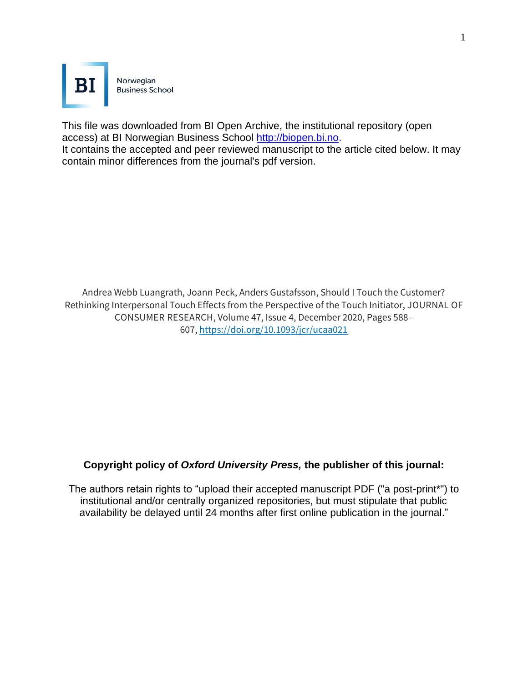

This file was downloaded from BI Open Archive, the institutional repository (open access) at BI Norwegian Business School [http://biopen.bi.no.](http://biopen.bi.no/)

It contains the accepted and peer reviewed manuscript to the article cited below. It may contain minor differences from the journal's pdf version.

Andrea Webb Luangrath, Joann Peck, Anders Gustafsson, Should I Touch the Customer? Rethinking Interpersonal Touch Effects from the Perspective of the Touch Initiator, JOURNAL OF CONSUMER RESEARCH, Volume 47, Issue 4, December 2020, Pages 588– 607, <https://doi.org/10.1093/jcr/ucaa021>

## **Copyright policy of** *Oxford University Press,* **the publisher of this journal:**

The authors retain rights to "upload their accepted manuscript PDF ("a post-print\*") to institutional and/or centrally organized repositories, but must stipulate that public availability be delayed until 24 months after first online publication in the journal."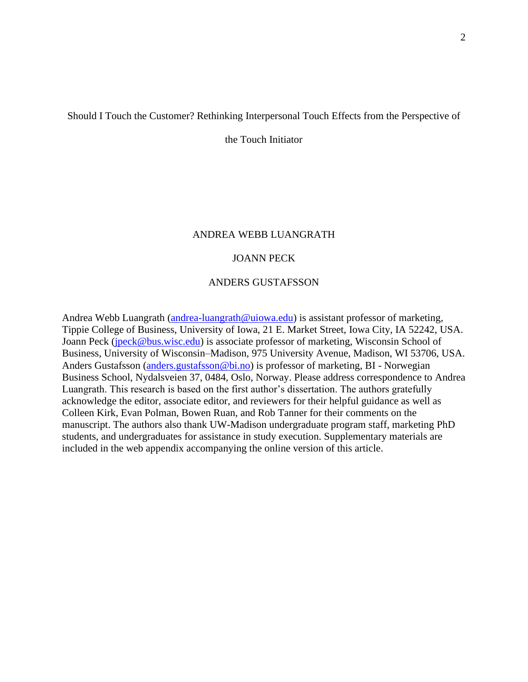#### Should I Touch the Customer? Rethinking Interpersonal Touch Effects from the Perspective of

the Touch Initiator

#### ANDREA WEBB LUANGRATH

#### JOANN PECK

#### ANDERS GUSTAFSSON

Andrea Webb Luangrath [\(andrea-luangrath@uiowa.edu\)](mailto:andrea-luangrath@uiowa.edu) is assistant professor of marketing, Tippie College of Business, University of Iowa, 21 E. Market Street, Iowa City, IA 52242, USA. Joann Peck [\(jpeck@bus.wisc.edu\)](mailto:jpeck@bus.wisc.edu) is associate professor of marketing, Wisconsin School of Business, University of Wisconsin–Madison, 975 University Avenue, Madison, WI 53706, USA. Anders Gustafsson [\(anders.gustafsson@bi.no\)](mailto:anders.gustafsson@bi.no) is professor of marketing, BI - Norwegian Business School, Nydalsveien 37, 0484, Oslo, Norway. Please address correspondence to Andrea Luangrath. This research is based on the first author's dissertation. The authors gratefully acknowledge the editor, associate editor, and reviewers for their helpful guidance as well as Colleen Kirk, Evan Polman, Bowen Ruan, and Rob Tanner for their comments on the manuscript. The authors also thank UW-Madison undergraduate program staff, marketing PhD students, and undergraduates for assistance in study execution. Supplementary materials are included in the web appendix accompanying the online version of this article.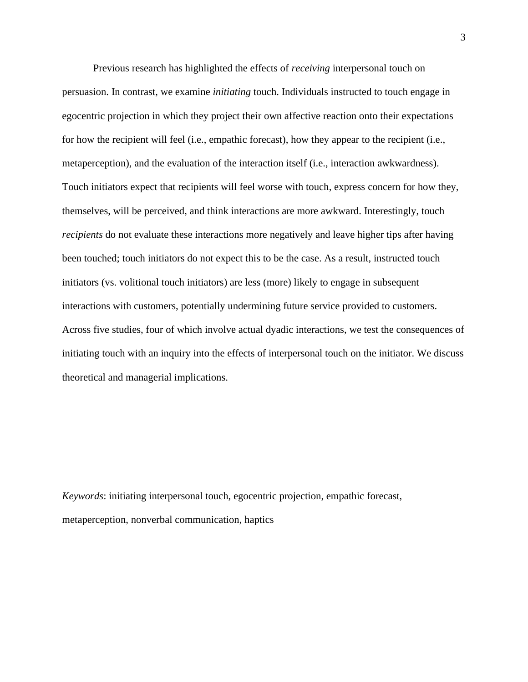Previous research has highlighted the effects of *receiving* interpersonal touch on persuasion. In contrast, we examine *initiating* touch. Individuals instructed to touch engage in egocentric projection in which they project their own affective reaction onto their expectations for how the recipient will feel (i.e., empathic forecast), how they appear to the recipient (i.e., metaperception), and the evaluation of the interaction itself (i.e., interaction awkwardness). Touch initiators expect that recipients will feel worse with touch, express concern for how they, themselves, will be perceived, and think interactions are more awkward. Interestingly, touch *recipients* do not evaluate these interactions more negatively and leave higher tips after having been touched; touch initiators do not expect this to be the case. As a result, instructed touch initiators (vs. volitional touch initiators) are less (more) likely to engage in subsequent interactions with customers, potentially undermining future service provided to customers. Across five studies, four of which involve actual dyadic interactions, we test the consequences of initiating touch with an inquiry into the effects of interpersonal touch on the initiator. We discuss theoretical and managerial implications.

*Keywords*: initiating interpersonal touch, egocentric projection, empathic forecast, metaperception, nonverbal communication, haptics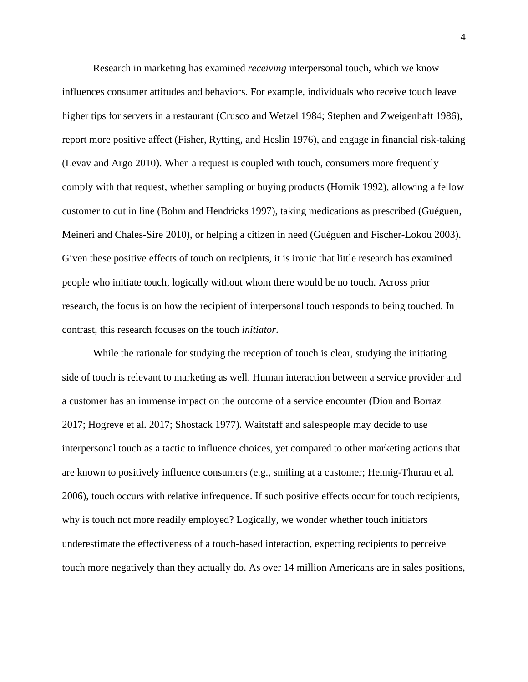Research in marketing has examined *receiving* interpersonal touch, which we know influences consumer attitudes and behaviors. For example, individuals who receive touch leave higher tips for servers in a restaurant (Crusco and Wetzel 1984; Stephen and Zweigenhaft 1986), report more positive affect (Fisher, Rytting, and Heslin 1976), and engage in financial risk-taking (Levav and Argo 2010). When a request is coupled with touch, consumers more frequently comply with that request, whether sampling or buying products (Hornik 1992), allowing a fellow customer to cut in line (Bohm and Hendricks 1997), taking medications as prescribed (Guéguen, Meineri and Chales-Sire 2010), or helping a citizen in need (Guéguen and Fischer-Lokou 2003). Given these positive effects of touch on recipients, it is ironic that little research has examined people who initiate touch, logically without whom there would be no touch. Across prior research, the focus is on how the recipient of interpersonal touch responds to being touched. In contrast, this research focuses on the touch *initiator*.

While the rationale for studying the reception of touch is clear, studying the initiating side of touch is relevant to marketing as well. Human interaction between a service provider and a customer has an immense impact on the outcome of a service encounter (Dion and Borraz 2017; Hogreve et al. 2017; Shostack 1977). Waitstaff and salespeople may decide to use interpersonal touch as a tactic to influence choices, yet compared to other marketing actions that are known to positively influence consumers (e.g., smiling at a customer; Hennig-Thurau et al. 2006), touch occurs with relative infrequence. If such positive effects occur for touch recipients, why is touch not more readily employed? Logically, we wonder whether touch initiators underestimate the effectiveness of a touch-based interaction, expecting recipients to perceive touch more negatively than they actually do. As over 14 million Americans are in sales positions,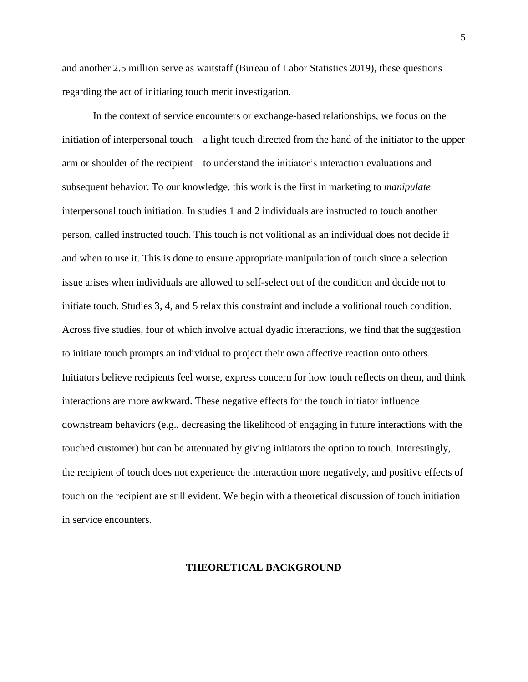and another 2.5 million serve as waitstaff (Bureau of Labor Statistics 2019), these questions regarding the act of initiating touch merit investigation.

In the context of service encounters or exchange-based relationships, we focus on the initiation of interpersonal touch – a light touch directed from the hand of the initiator to the upper arm or shoulder of the recipient – to understand the initiator's interaction evaluations and subsequent behavior. To our knowledge, this work is the first in marketing to *manipulate*  interpersonal touch initiation. In studies 1 and 2 individuals are instructed to touch another person, called instructed touch. This touch is not volitional as an individual does not decide if and when to use it. This is done to ensure appropriate manipulation of touch since a selection issue arises when individuals are allowed to self-select out of the condition and decide not to initiate touch. Studies 3, 4, and 5 relax this constraint and include a volitional touch condition. Across five studies, four of which involve actual dyadic interactions, we find that the suggestion to initiate touch prompts an individual to project their own affective reaction onto others. Initiators believe recipients feel worse, express concern for how touch reflects on them, and think interactions are more awkward. These negative effects for the touch initiator influence downstream behaviors (e.g., decreasing the likelihood of engaging in future interactions with the touched customer) but can be attenuated by giving initiators the option to touch. Interestingly, the recipient of touch does not experience the interaction more negatively, and positive effects of touch on the recipient are still evident. We begin with a theoretical discussion of touch initiation in service encounters.

#### **THEORETICAL BACKGROUND**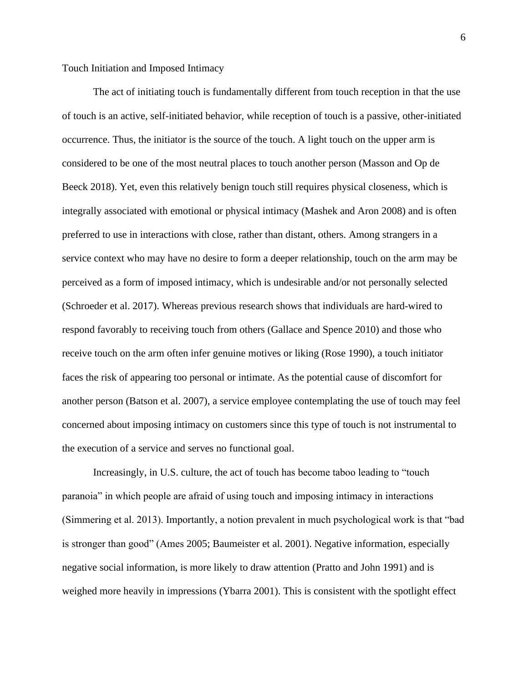Touch Initiation and Imposed Intimacy

The act of initiating touch is fundamentally different from touch reception in that the use of touch is an active, self-initiated behavior, while reception of touch is a passive, other-initiated occurrence. Thus, the initiator is the source of the touch. A light touch on the upper arm is considered to be one of the most neutral places to touch another person (Masson and Op de Beeck 2018). Yet, even this relatively benign touch still requires physical closeness, which is integrally associated with emotional or physical intimacy (Mashek and Aron 2008) and is often preferred to use in interactions with close, rather than distant, others. Among strangers in a service context who may have no desire to form a deeper relationship, touch on the arm may be perceived as a form of imposed intimacy, which is undesirable and/or not personally selected (Schroeder et al. 2017). Whereas previous research shows that individuals are hard-wired to respond favorably to receiving touch from others (Gallace and Spence 2010) and those who receive touch on the arm often infer genuine motives or liking (Rose 1990), a touch initiator faces the risk of appearing too personal or intimate. As the potential cause of discomfort for another person (Batson et al. 2007), a service employee contemplating the use of touch may feel concerned about imposing intimacy on customers since this type of touch is not instrumental to the execution of a service and serves no functional goal.

Increasingly, in U.S. culture, the act of touch has become taboo leading to "touch paranoia" in which people are afraid of using touch and imposing intimacy in interactions (Simmering et al. 2013). Importantly, a notion prevalent in much psychological work is that "bad is stronger than good" (Ames 2005; Baumeister et al. 2001). Negative information, especially negative social information, is more likely to draw attention (Pratto and John 1991) and is weighed more heavily in impressions (Ybarra 2001). This is consistent with the spotlight effect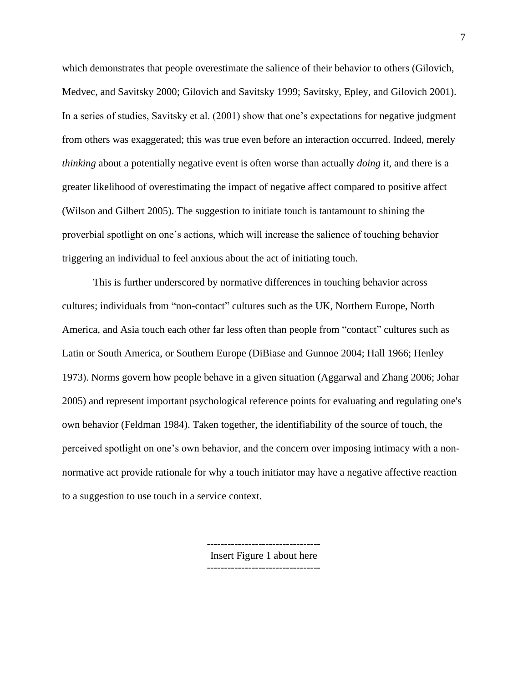which demonstrates that people overestimate the salience of their behavior to others (Gilovich, Medvec, and Savitsky 2000; Gilovich and Savitsky 1999; Savitsky, Epley, and Gilovich 2001). In a series of studies, Savitsky et al. (2001) show that one's expectations for negative judgment from others was exaggerated; this was true even before an interaction occurred. Indeed, merely *thinking* about a potentially negative event is often worse than actually *doing* it, and there is a greater likelihood of overestimating the impact of negative affect compared to positive affect (Wilson and Gilbert 2005). The suggestion to initiate touch is tantamount to shining the proverbial spotlight on one's actions, which will increase the salience of touching behavior triggering an individual to feel anxious about the act of initiating touch.

This is further underscored by normative differences in touching behavior across cultures; individuals from "non-contact" cultures such as the UK, Northern Europe, North America, and Asia touch each other far less often than people from "contact" cultures such as Latin or South America, or Southern Europe (DiBiase and Gunnoe 2004; Hall 1966; Henley 1973). Norms govern how people behave in a given situation (Aggarwal and Zhang 2006; Johar 2005) and represent important psychological reference points for evaluating and regulating one's own behavior (Feldman 1984). Taken together, the identifiability of the source of touch, the perceived spotlight on one's own behavior, and the concern over imposing intimacy with a nonnormative act provide rationale for why a touch initiator may have a negative affective reaction to a suggestion to use touch in a service context.

> --------------------------------- Insert Figure 1 about here ---------------------------------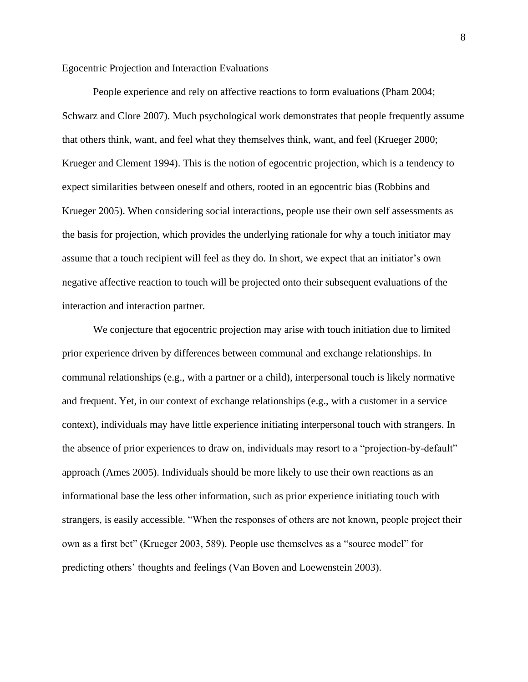Egocentric Projection and Interaction Evaluations

People experience and rely on affective reactions to form evaluations (Pham 2004; Schwarz and Clore 2007). Much psychological work demonstrates that people frequently assume that others think, want, and feel what they themselves think, want, and feel (Krueger 2000; Krueger and Clement 1994). This is the notion of egocentric projection, which is a tendency to expect similarities between oneself and others, rooted in an egocentric bias (Robbins and Krueger 2005). When considering social interactions, people use their own self assessments as the basis for projection, which provides the underlying rationale for why a touch initiator may assume that a touch recipient will feel as they do. In short, we expect that an initiator's own negative affective reaction to touch will be projected onto their subsequent evaluations of the interaction and interaction partner.

We conjecture that egocentric projection may arise with touch initiation due to limited prior experience driven by differences between communal and exchange relationships. In communal relationships (e.g., with a partner or a child), interpersonal touch is likely normative and frequent. Yet, in our context of exchange relationships (e.g., with a customer in a service context), individuals may have little experience initiating interpersonal touch with strangers. In the absence of prior experiences to draw on, individuals may resort to a "projection-by-default" approach (Ames 2005). Individuals should be more likely to use their own reactions as an informational base the less other information, such as prior experience initiating touch with strangers, is easily accessible. "When the responses of others are not known, people project their own as a first bet" (Krueger 2003, 589). People use themselves as a "source model" for predicting others' thoughts and feelings (Van Boven and Loewenstein 2003).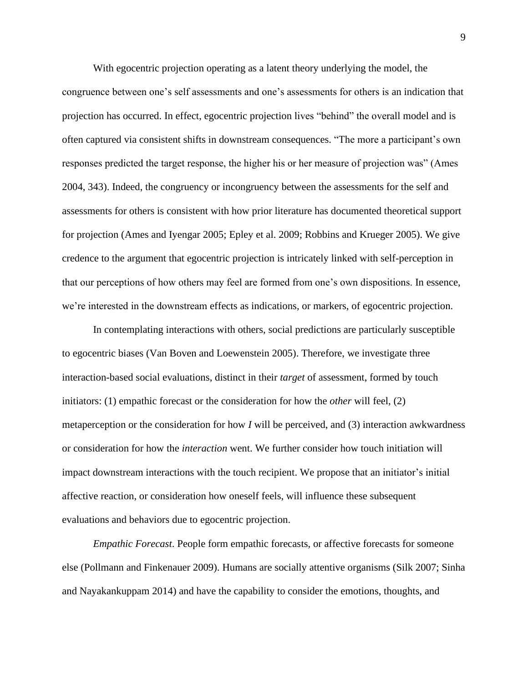With egocentric projection operating as a latent theory underlying the model, the congruence between one's self assessments and one's assessments for others is an indication that projection has occurred. In effect, egocentric projection lives "behind" the overall model and is often captured via consistent shifts in downstream consequences. "The more a participant's own responses predicted the target response, the higher his or her measure of projection was" (Ames 2004, 343). Indeed, the congruency or incongruency between the assessments for the self and assessments for others is consistent with how prior literature has documented theoretical support for projection (Ames and Iyengar 2005; Epley et al. 2009; Robbins and Krueger 2005). We give credence to the argument that egocentric projection is intricately linked with self-perception in that our perceptions of how others may feel are formed from one's own dispositions. In essence, we're interested in the downstream effects as indications, or markers, of egocentric projection.

In contemplating interactions with others, social predictions are particularly susceptible to egocentric biases (Van Boven and Loewenstein 2005). Therefore, we investigate three interaction-based social evaluations, distinct in their *target* of assessment, formed by touch initiators: (1) empathic forecast or the consideration for how the *other* will feel, (2) metaperception or the consideration for how *I* will be perceived, and (3) interaction awkwardness or consideration for how the *interaction* went. We further consider how touch initiation will impact downstream interactions with the touch recipient. We propose that an initiator's initial affective reaction, or consideration how oneself feels, will influence these subsequent evaluations and behaviors due to egocentric projection.

*Empathic Forecast*. People form empathic forecasts, or affective forecasts for someone else (Pollmann and Finkenauer 2009). Humans are socially attentive organisms (Silk 2007; Sinha and Nayakankuppam 2014) and have the capability to consider the emotions, thoughts, and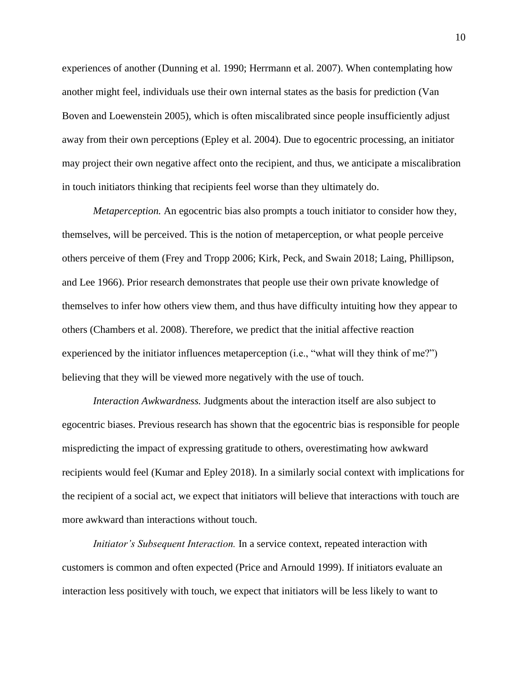experiences of another (Dunning et al. 1990; Herrmann et al. 2007). When contemplating how another might feel, individuals use their own internal states as the basis for prediction (Van Boven and Loewenstein 2005), which is often miscalibrated since people insufficiently adjust away from their own perceptions (Epley et al. 2004). Due to egocentric processing, an initiator may project their own negative affect onto the recipient, and thus, we anticipate a miscalibration in touch initiators thinking that recipients feel worse than they ultimately do.

*Metaperception.* An egocentric bias also prompts a touch initiator to consider how they, themselves, will be perceived. This is the notion of metaperception, or what people perceive others perceive of them (Frey and Tropp 2006; Kirk, Peck, and Swain 2018; Laing, Phillipson, and Lee 1966). Prior research demonstrates that people use their own private knowledge of themselves to infer how others view them, and thus have difficulty intuiting how they appear to others (Chambers et al. 2008). Therefore, we predict that the initial affective reaction experienced by the initiator influences metaperception (i.e., "what will they think of me?") believing that they will be viewed more negatively with the use of touch.

*Interaction Awkwardness.* Judgments about the interaction itself are also subject to egocentric biases. Previous research has shown that the egocentric bias is responsible for people mispredicting the impact of expressing gratitude to others, overestimating how awkward recipients would feel (Kumar and Epley 2018). In a similarly social context with implications for the recipient of a social act, we expect that initiators will believe that interactions with touch are more awkward than interactions without touch.

*Initiator's Subsequent Interaction.* In a service context, repeated interaction with customers is common and often expected (Price and Arnould 1999). If initiators evaluate an interaction less positively with touch, we expect that initiators will be less likely to want to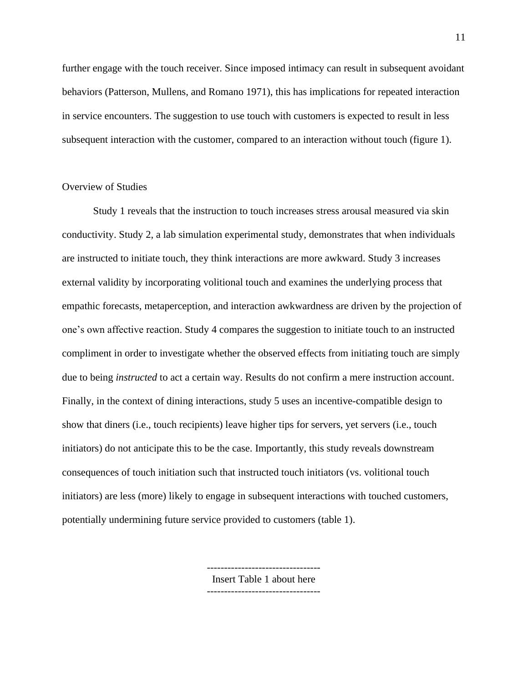further engage with the touch receiver. Since imposed intimacy can result in subsequent avoidant behaviors (Patterson, Mullens, and Romano 1971), this has implications for repeated interaction in service encounters. The suggestion to use touch with customers is expected to result in less subsequent interaction with the customer, compared to an interaction without touch (figure 1).

#### Overview of Studies

Study 1 reveals that the instruction to touch increases stress arousal measured via skin conductivity. Study 2, a lab simulation experimental study, demonstrates that when individuals are instructed to initiate touch, they think interactions are more awkward. Study 3 increases external validity by incorporating volitional touch and examines the underlying process that empathic forecasts, metaperception, and interaction awkwardness are driven by the projection of one's own affective reaction. Study 4 compares the suggestion to initiate touch to an instructed compliment in order to investigate whether the observed effects from initiating touch are simply due to being *instructed* to act a certain way. Results do not confirm a mere instruction account. Finally, in the context of dining interactions, study 5 uses an incentive-compatible design to show that diners (i.e., touch recipients) leave higher tips for servers, yet servers (i.e., touch initiators) do not anticipate this to be the case. Importantly, this study reveals downstream consequences of touch initiation such that instructed touch initiators (vs. volitional touch initiators) are less (more) likely to engage in subsequent interactions with touched customers, potentially undermining future service provided to customers (table 1).

Insert Table 1 about here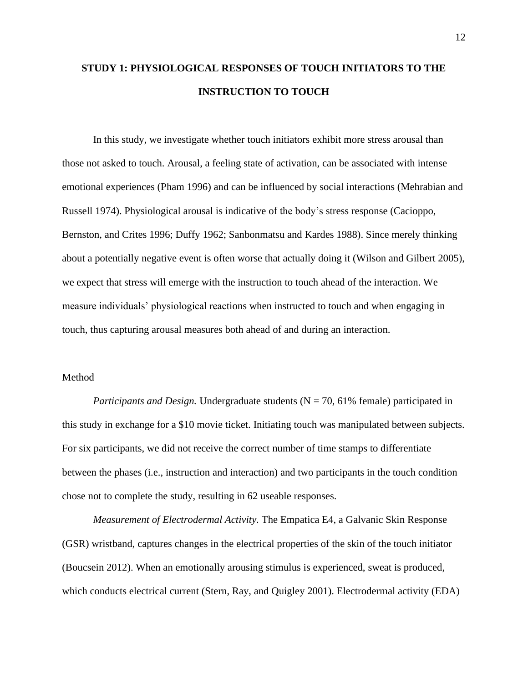# **STUDY 1: PHYSIOLOGICAL RESPONSES OF TOUCH INITIATORS TO THE INSTRUCTION TO TOUCH**

In this study, we investigate whether touch initiators exhibit more stress arousal than those not asked to touch. Arousal, a feeling state of activation, can be associated with intense emotional experiences (Pham 1996) and can be influenced by social interactions (Mehrabian and Russell 1974). Physiological arousal is indicative of the body's stress response (Cacioppo, Bernston, and Crites 1996; Duffy 1962; Sanbonmatsu and Kardes 1988). Since merely thinking about a potentially negative event is often worse that actually doing it (Wilson and Gilbert 2005), we expect that stress will emerge with the instruction to touch ahead of the interaction. We measure individuals' physiological reactions when instructed to touch and when engaging in touch, thus capturing arousal measures both ahead of and during an interaction.

#### Method

*Participants and Design.* Undergraduate students (N = 70, 61% female) participated in this study in exchange for a \$10 movie ticket. Initiating touch was manipulated between subjects. For six participants, we did not receive the correct number of time stamps to differentiate between the phases (i.e., instruction and interaction) and two participants in the touch condition chose not to complete the study, resulting in 62 useable responses.

*Measurement of Electrodermal Activity.* The Empatica E4, a Galvanic Skin Response (GSR) wristband, captures changes in the electrical properties of the skin of the touch initiator (Boucsein 2012). When an emotionally arousing stimulus is experienced, sweat is produced, which conducts electrical current (Stern, Ray, and Quigley 2001). Electrodermal activity (EDA)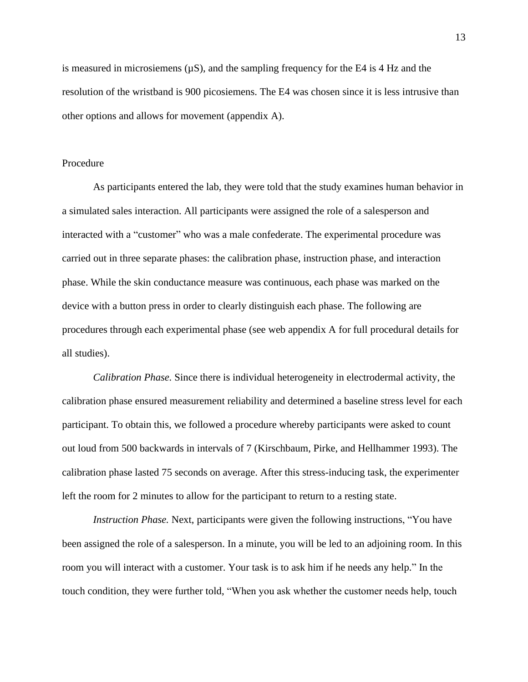is measured in microsiemens  $(\mu S)$ , and the sampling frequency for the E4 is 4 Hz and the resolution of the wristband is 900 picosiemens. The E4 was chosen since it is less intrusive than other options and allows for movement (appendix A).

#### Procedure

As participants entered the lab, they were told that the study examines human behavior in a simulated sales interaction. All participants were assigned the role of a salesperson and interacted with a "customer" who was a male confederate. The experimental procedure was carried out in three separate phases: the calibration phase, instruction phase, and interaction phase. While the skin conductance measure was continuous, each phase was marked on the device with a button press in order to clearly distinguish each phase. The following are procedures through each experimental phase (see web appendix A for full procedural details for all studies).

*Calibration Phase.* Since there is individual heterogeneity in electrodermal activity, the calibration phase ensured measurement reliability and determined a baseline stress level for each participant. To obtain this, we followed a procedure whereby participants were asked to count out loud from 500 backwards in intervals of 7 (Kirschbaum, Pirke, and Hellhammer 1993). The calibration phase lasted 75 seconds on average. After this stress-inducing task, the experimenter left the room for 2 minutes to allow for the participant to return to a resting state.

*Instruction Phase.* Next, participants were given the following instructions, "You have been assigned the role of a salesperson. In a minute, you will be led to an adjoining room. In this room you will interact with a customer. Your task is to ask him if he needs any help." In the touch condition, they were further told, "When you ask whether the customer needs help, touch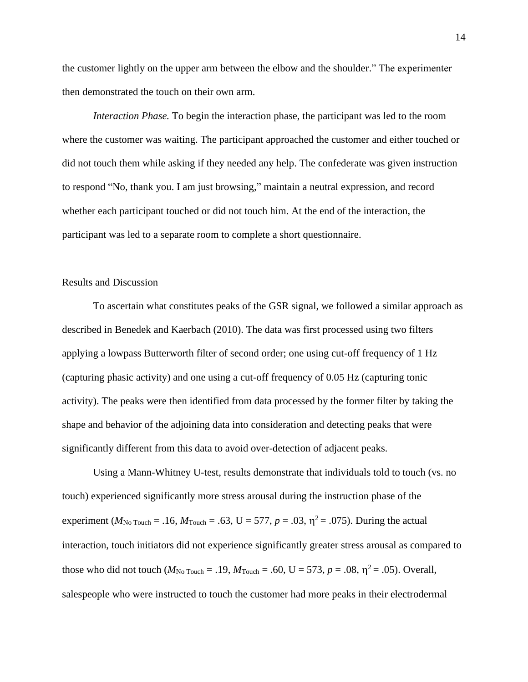the customer lightly on the upper arm between the elbow and the shoulder." The experimenter then demonstrated the touch on their own arm.

*Interaction Phase.* To begin the interaction phase, the participant was led to the room where the customer was waiting. The participant approached the customer and either touched or did not touch them while asking if they needed any help. The confederate was given instruction to respond "No, thank you. I am just browsing," maintain a neutral expression, and record whether each participant touched or did not touch him. At the end of the interaction, the participant was led to a separate room to complete a short questionnaire.

#### Results and Discussion

To ascertain what constitutes peaks of the GSR signal, we followed a similar approach as described in Benedek and Kaerbach (2010). The data was first processed using two filters applying a lowpass Butterworth filter of second order; one using cut-off frequency of 1 Hz (capturing phasic activity) and one using a cut-off frequency of 0.05 Hz (capturing tonic activity). The peaks were then identified from data processed by the former filter by taking the shape and behavior of the adjoining data into consideration and detecting peaks that were significantly different from this data to avoid over-detection of adjacent peaks.

Using a Mann-Whitney U-test, results demonstrate that individuals told to touch (vs. no touch) experienced significantly more stress arousal during the instruction phase of the experiment ( $M_{\text{No Touch}} = .16$ ,  $M_{\text{Touch}} = .63$ , U = 577, p = .03,  $\eta^2 = .075$ ). During the actual interaction, touch initiators did not experience significantly greater stress arousal as compared to those who did not touch ( $M_{\text{No Touch}} = .19$ ,  $M_{\text{Touch}} = .60$ , U = 573, p = .08,  $\eta^2 = .05$ ). Overall, salespeople who were instructed to touch the customer had more peaks in their electrodermal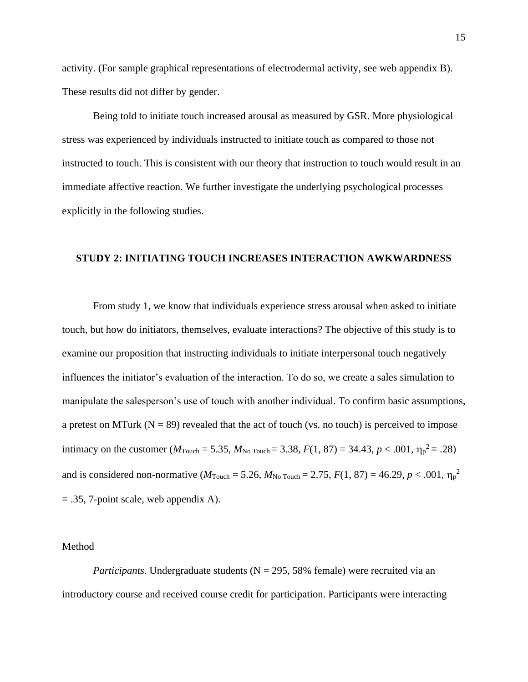activity. (For sample graphical representations of electrodermal activity, see web appendix B). These results did not differ by gender.

Being told to initiate touch increased arousal as measured by GSR. More physiological stress was experienced by individuals instructed to initiate touch as compared to those not instructed to touch. This is consistent with our theory that instruction to touch would result in an immediate affective reaction. We further investigate the underlying psychological processes explicitly in the following studies.

#### **STUDY 2: INITIATING TOUCH INCREASES INTERACTION AWKWARDNESS**

From study 1, we know that individuals experience stress arousal when asked to initiate touch, but how do initiators, themselves, evaluate interactions? The objective of this study is to examine our proposition that instructing individuals to initiate interpersonal touch negatively influences the initiator's evaluation of the interaction. To do so, we create a sales simulation to manipulate the salesperson's use of touch with another individual. To confirm basic assumptions, a pretest on MTurk ( $N = 89$ ) revealed that the act of touch (vs. no touch) is perceived to impose intimacy on the customer ( $M_{\text{Touch}} = 5.35$ ,  $M_{\text{No Touch}} = 3.38$ ,  $F(1, 87) = 34.43$ ,  $p < .001$ ,  $\eta_p^2 = .28$ ) and is considered non-normative ( $M_{\text{Touch}} = 5.26$ ,  $M_{\text{No Touch}} = 2.75$ ,  $F(1, 87) = 46.29$ ,  $p < .001$ ,  $\eta_p^2$ **=** .35, 7-point scale, web appendix A).

#### Method

*Participants.* Undergraduate students (N = 295, 58% female) were recruited via an introductory course and received course credit for participation. Participants were interacting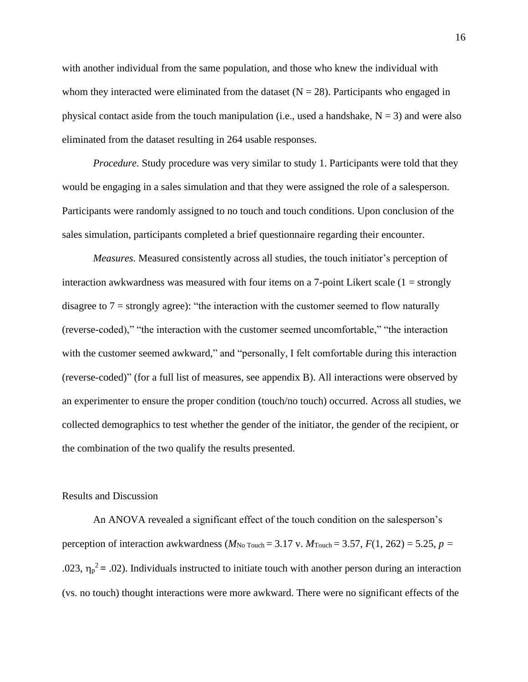with another individual from the same population, and those who knew the individual with whom they interacted were eliminated from the dataset  $(N = 28)$ . Participants who engaged in physical contact aside from the touch manipulation (i.e., used a handshake,  $N = 3$ ) and were also eliminated from the dataset resulting in 264 usable responses.

*Procedure.* Study procedure was very similar to study 1. Participants were told that they would be engaging in a sales simulation and that they were assigned the role of a salesperson. Participants were randomly assigned to no touch and touch conditions. Upon conclusion of the sales simulation, participants completed a brief questionnaire regarding their encounter.

*Measures.* Measured consistently across all studies, the touch initiator's perception of interaction awkwardness was measured with four items on a 7-point Likert scale  $(1 =$  strongly disagree to  $7 =$  strongly agree): "the interaction with the customer seemed to flow naturally (reverse-coded)," "the interaction with the customer seemed uncomfortable," "the interaction with the customer seemed awkward," and "personally, I felt comfortable during this interaction (reverse-coded)" (for a full list of measures, see appendix B). All interactions were observed by an experimenter to ensure the proper condition (touch/no touch) occurred. Across all studies, we collected demographics to test whether the gender of the initiator, the gender of the recipient, or the combination of the two qualify the results presented.

#### Results and Discussion

An ANOVA revealed a significant effect of the touch condition on the salesperson's perception of interaction awkwardness ( $M_{\text{No Touch}} = 3.17$  v.  $M_{\text{Touch}} = 3.57$ ,  $F(1, 262) = 5.25$ ,  $p =$ .023,  $\eta_p^2$  = .02). Individuals instructed to initiate touch with another person during an interaction (vs. no touch) thought interactions were more awkward. There were no significant effects of the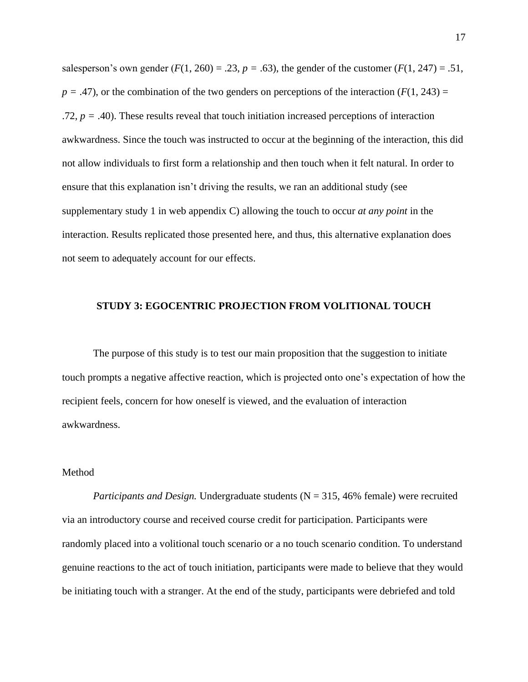salesperson's own gender  $(F(1, 260) = .23, p = .63)$ , the gender of the customer  $(F(1, 247) = .51, p = .63)$  $p = .47$ ), or the combination of the two genders on perceptions of the interaction ( $F(1, 243) =$ .72,  $p = .40$ ). These results reveal that touch initiation increased perceptions of interaction awkwardness. Since the touch was instructed to occur at the beginning of the interaction, this did not allow individuals to first form a relationship and then touch when it felt natural. In order to ensure that this explanation isn't driving the results, we ran an additional study (see supplementary study 1 in web appendix C) allowing the touch to occur *at any point* in the interaction. Results replicated those presented here, and thus, this alternative explanation does not seem to adequately account for our effects.

#### **STUDY 3: EGOCENTRIC PROJECTION FROM VOLITIONAL TOUCH**

The purpose of this study is to test our main proposition that the suggestion to initiate touch prompts a negative affective reaction, which is projected onto one's expectation of how the recipient feels, concern for how oneself is viewed, and the evaluation of interaction awkwardness.

#### Method

*Participants and Design.* Undergraduate students (N = 315, 46% female) were recruited via an introductory course and received course credit for participation. Participants were randomly placed into a volitional touch scenario or a no touch scenario condition. To understand genuine reactions to the act of touch initiation, participants were made to believe that they would be initiating touch with a stranger. At the end of the study, participants were debriefed and told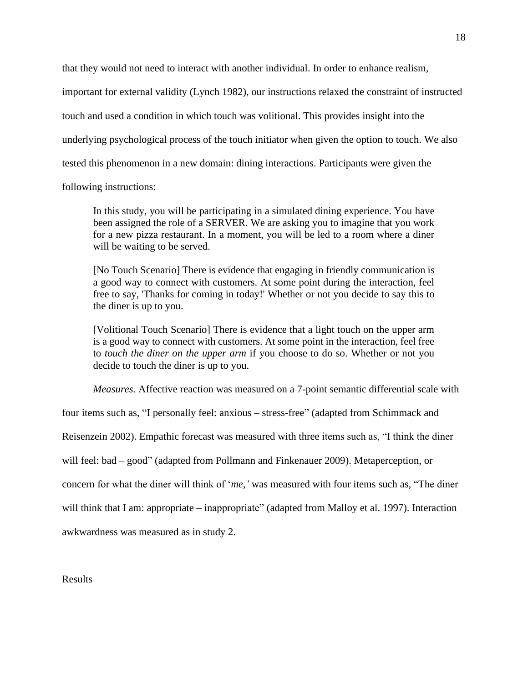that they would not need to interact with another individual. In order to enhance realism,

important for external validity (Lynch 1982), our instructions relaxed the constraint of instructed

touch and used a condition in which touch was volitional. This provides insight into the

underlying psychological process of the touch initiator when given the option to touch. We also

tested this phenomenon in a new domain: dining interactions. Participants were given the

following instructions:

In this study, you will be participating in a simulated dining experience. You have been assigned the role of a SERVER. We are asking you to imagine that you work for a new pizza restaurant. In a moment, you will be led to a room where a diner will be waiting to be served.

[No Touch Scenario] There is evidence that engaging in friendly communication is a good way to connect with customers. At some point during the interaction, feel free to say, 'Thanks for coming in today!' Whether or not you decide to say this to the diner is up to you.

[Volitional Touch Scenario] There is evidence that a light touch on the upper arm is a good way to connect with customers. At some point in the interaction, feel free to *touch the diner on the upper arm* if you choose to do so. Whether or not you decide to touch the diner is up to you.

*Measures.* Affective reaction was measured on a 7-point semantic differential scale with

four items such as, "I personally feel: anxious – stress-free" (adapted from Schimmack and

Reisenzein 2002). Empathic forecast was measured with three items such as, "I think the diner

will feel: bad – good" (adapted from Pollmann and Finkenauer 2009). Metaperception, or

concern for what the diner will think of '*me,'* was measured with four items such as, "The diner

will think that I am: appropriate – inappropriate" (adapted from Malloy et al. 1997). Interaction

awkwardness was measured as in study 2.

Results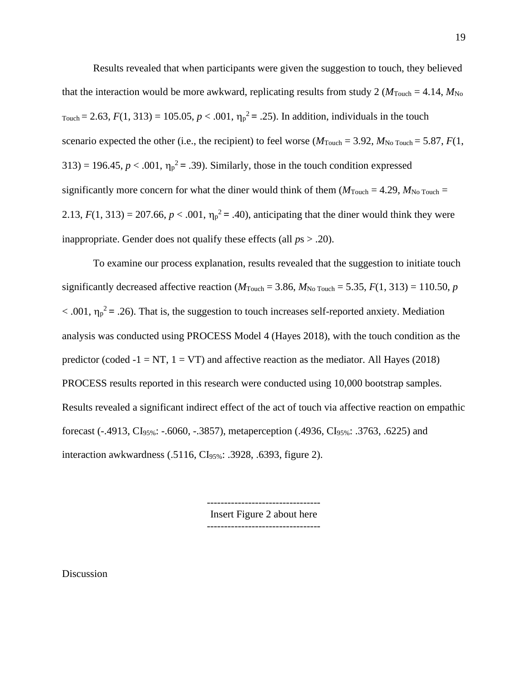Results revealed that when participants were given the suggestion to touch, they believed that the interaction would be more awkward, replicating results from study 2 ( $M_{\text{Touch}} = 4.14$ ,  $M_{\text{No}}$ ) Touch = 2.63,  $F(1, 313) = 105.05$ ,  $p < .001$ ,  $\eta_p^2 = .25$ ). In addition, individuals in the touch scenario expected the other (i.e., the recipient) to feel worse ( $M_{\text{Touch}} = 3.92$ ,  $M_{\text{No Touch}} = 5.87$ ,  $F(1)$ ,  $313$  = 196.45,  $p < .001$ ,  $\eta_p^2 = .39$ ). Similarly, those in the touch condition expressed significantly more concern for what the diner would think of them  $(M_{\text{Touch}} = 4.29, M_{\text{No Touch}} =$ 2.13,  $F(1, 313) = 207.66$ ,  $p < .001$ ,  $\eta_p^2 = .40$ ), anticipating that the diner would think they were inappropriate. Gender does not qualify these effects (all *p*s > .20).

To examine our process explanation, results revealed that the suggestion to initiate touch significantly decreased affective reaction ( $M_{\text{Touch}} = 3.86$ ,  $M_{\text{No Touch}} = 5.35$ ,  $F(1, 313) = 110.50$ , *p*  $< .001$ ,  $\eta_p^2 = .26$ ). That is, the suggestion to touch increases self-reported anxiety. Mediation analysis was conducted using PROCESS Model 4 (Hayes 2018), with the touch condition as the predictor (coded  $-1 = NT$ ,  $1 = VT$ ) and affective reaction as the mediator. All Hayes (2018) PROCESS results reported in this research were conducted using 10,000 bootstrap samples. Results revealed a significant indirect effect of the act of touch via affective reaction on empathic forecast (-.4913, CI<sub>95%</sub>: -.6060, -.3857), metaperception (.4936, CI<sub>95%</sub>: .3763, .6225) and interaction awkwardness (.5116, CI95%: .3928, .6393, figure 2).

> --------------------------------- Insert Figure 2 about here ---------------------------------

Discussion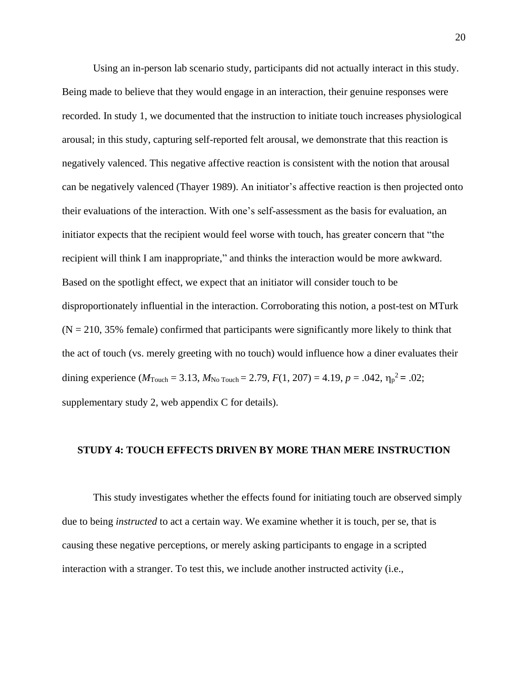Using an in-person lab scenario study, participants did not actually interact in this study. Being made to believe that they would engage in an interaction, their genuine responses were recorded. In study 1, we documented that the instruction to initiate touch increases physiological arousal; in this study, capturing self-reported felt arousal, we demonstrate that this reaction is negatively valenced. This negative affective reaction is consistent with the notion that arousal can be negatively valenced (Thayer 1989). An initiator's affective reaction is then projected onto their evaluations of the interaction. With one's self-assessment as the basis for evaluation, an initiator expects that the recipient would feel worse with touch, has greater concern that "the recipient will think I am inappropriate," and thinks the interaction would be more awkward. Based on the spotlight effect, we expect that an initiator will consider touch to be disproportionately influential in the interaction. Corroborating this notion, a post-test on MTurk  $(N = 210, 35\%$  female) confirmed that participants were significantly more likely to think that the act of touch (vs. merely greeting with no touch) would influence how a diner evaluates their dining experience ( $M_{\text{Touch}} = 3.13$ ,  $M_{\text{No Touch}} = 2.79$ ,  $F(1, 207) = 4.19$ ,  $p = .042$ ,  $\eta_p^2 = .02$ ; supplementary study 2, web appendix C for details).

#### **STUDY 4: TOUCH EFFECTS DRIVEN BY MORE THAN MERE INSTRUCTION**

This study investigates whether the effects found for initiating touch are observed simply due to being *instructed* to act a certain way. We examine whether it is touch, per se, that is causing these negative perceptions, or merely asking participants to engage in a scripted interaction with a stranger. To test this, we include another instructed activity (i.e.,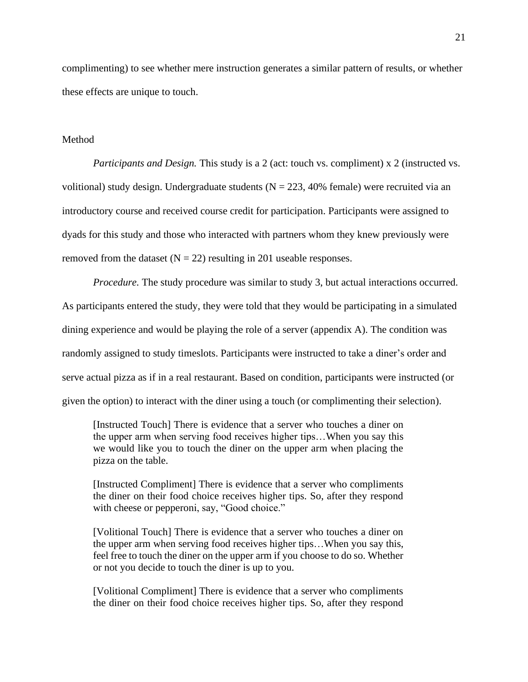complimenting) to see whether mere instruction generates a similar pattern of results, or whether these effects are unique to touch.

#### **Method**

*Participants and Design.* This study is a 2 (act: touch vs. compliment) x 2 (instructed vs. volitional) study design. Undergraduate students ( $N = 223, 40\%$  female) were recruited via an introductory course and received course credit for participation. Participants were assigned to dyads for this study and those who interacted with partners whom they knew previously were removed from the dataset  $(N = 22)$  resulting in 201 useable responses.

*Procedure.* The study procedure was similar to study 3, but actual interactions occurred. As participants entered the study, they were told that they would be participating in a simulated dining experience and would be playing the role of a server (appendix A). The condition was randomly assigned to study timeslots. Participants were instructed to take a diner's order and serve actual pizza as if in a real restaurant. Based on condition, participants were instructed (or given the option) to interact with the diner using a touch (or complimenting their selection).

[Instructed Touch] There is evidence that a server who touches a diner on the upper arm when serving food receives higher tips…When you say this we would like you to touch the diner on the upper arm when placing the pizza on the table.

[Instructed Compliment] There is evidence that a server who compliments the diner on their food choice receives higher tips. So, after they respond with cheese or pepperoni, say, "Good choice."

[Volitional Touch] There is evidence that a server who touches a diner on the upper arm when serving food receives higher tips…When you say this, feel free to touch the diner on the upper arm if you choose to do so. Whether or not you decide to touch the diner is up to you.

[Volitional Compliment] There is evidence that a server who compliments the diner on their food choice receives higher tips. So, after they respond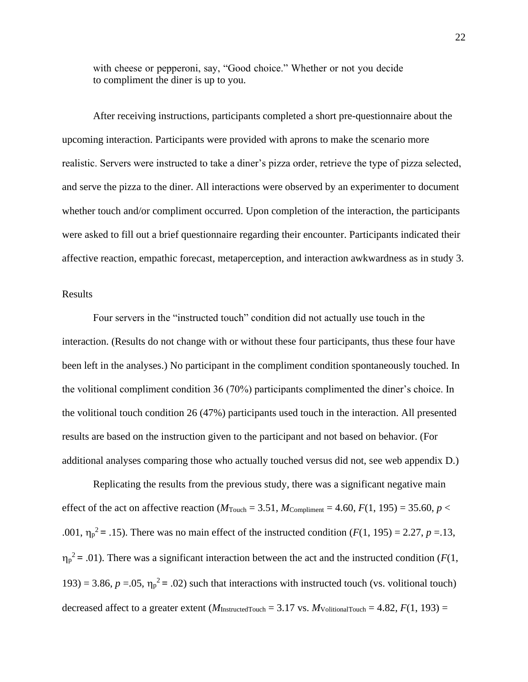with cheese or pepperoni, say, "Good choice." Whether or not you decide to compliment the diner is up to you.

After receiving instructions, participants completed a short pre-questionnaire about the upcoming interaction. Participants were provided with aprons to make the scenario more realistic. Servers were instructed to take a diner's pizza order, retrieve the type of pizza selected, and serve the pizza to the diner. All interactions were observed by an experimenter to document whether touch and/or compliment occurred. Upon completion of the interaction, the participants were asked to fill out a brief questionnaire regarding their encounter. Participants indicated their affective reaction, empathic forecast, metaperception, and interaction awkwardness as in study 3.

#### Results

Four servers in the "instructed touch" condition did not actually use touch in the interaction. (Results do not change with or without these four participants, thus these four have been left in the analyses.) No participant in the compliment condition spontaneously touched. In the volitional compliment condition 36 (70%) participants complimented the diner's choice. In the volitional touch condition 26 (47%) participants used touch in the interaction. All presented results are based on the instruction given to the participant and not based on behavior. (For additional analyses comparing those who actually touched versus did not, see web appendix D.)

Replicating the results from the previous study, there was a significant negative main effect of the act on affective reaction ( $M_{\text{Touch}} = 3.51$ ,  $M_{\text{Compliment}} = 4.60$ ,  $F(1, 195) = 35.60$ ,  $p <$ .001,  $\eta_p^2 = 0.15$ . There was no main effect of the instructed condition (*F*(1, 195) = 2.27, *p* = 13,  $\eta_p^2 = .01$ ). There was a significant interaction between the act and the instructed condition (*F*(1, 193) = 3.86,  $p = .05$ ,  $\eta_p^2 = .02$ ) such that interactions with instructed touch (vs. volitional touch) decreased affect to a greater extent ( $M_{\text{InstructedTouch}} = 3.17$  vs.  $M_{\text{VolitionalTouch}} = 4.82, F(1, 193) =$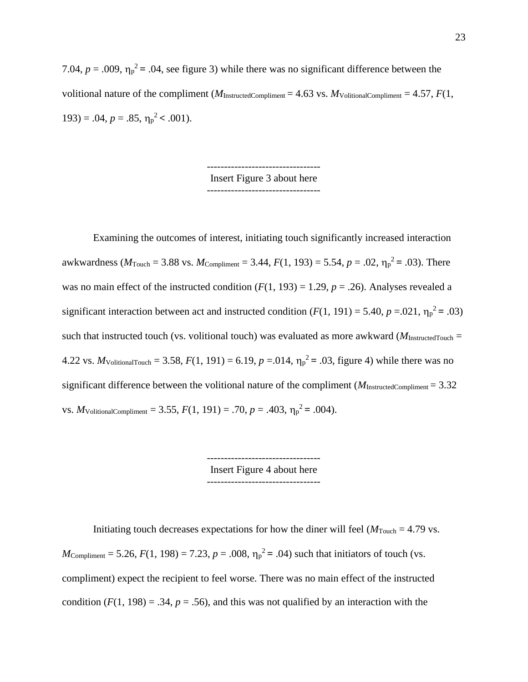7.04,  $p = .009$ ,  $\eta_p^2 = .04$ , see figure 3) while there was no significant difference between the volitional nature of the compliment ( $M_{\text{InstructedCompliment}} = 4.63$  vs.  $M_{\text{VolitionalCompliment}} = 4.57$ ,  $F(1, 1)$ 193) = .04,  $p = .85$ ,  $\eta_p^2 < .001$ ).

> --------------------------------- Insert Figure 3 about here ---------------------------------

Examining the outcomes of interest, initiating touch significantly increased interaction awkwardness ( $M_{\text{Touch}} = 3.88$  vs.  $M_{\text{Compliment}} = 3.44$ ,  $F(1, 193) = 5.54$ ,  $p = .02$ ,  $\eta_p^2 = .03$ ). There was no main effect of the instructed condition  $(F(1, 193) = 1.29, p = .26)$ . Analyses revealed a significant interaction between act and instructed condition  $(F(1, 191) = 5.40, p = .021, \eta_p^2 = .03)$ such that instructed touch (vs. volitional touch) was evaluated as more awkward ( $M_{\text{InstructedTouch}} =$ 4.22 vs. *M* volitionalTouch = 3.58,  $F(1, 191) = 6.19$ ,  $p = .014$ ,  $\eta_p^2 = .03$ , figure 4) while there was no significant difference between the volitional nature of the compliment ( $M_{\text{InstructedCompliment}} = 3.32$ ) vs. *M* volitional Compliment = 3.55,  $F(1, 191) = .70$ ,  $p = .403$ ,  $\eta_p^2 = .004$ ).

> --------------------------------- Insert Figure 4 about here ---------------------------------

Initiating touch decreases expectations for how the diner will feel  $(M_{\text{Touch}} = 4.79 \text{ vs.})$  $M_{\text{Compliment}} = 5.26, F(1, 198) = 7.23, p = .008, \eta_p^2 = .04$ ) such that initiators of touch (vs. compliment) expect the recipient to feel worse. There was no main effect of the instructed condition  $(F(1, 198) = .34, p = .56)$ , and this was not qualified by an interaction with the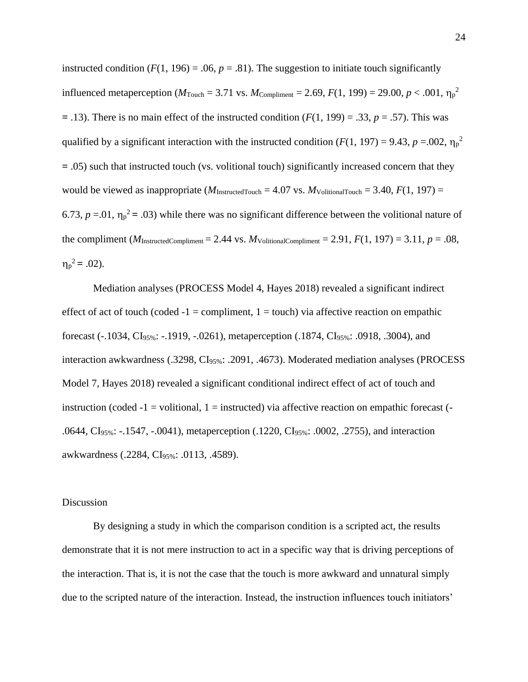instructed condition  $(F(1, 196) = .06, p = .81)$ . The suggestion to initiate touch significantly influenced metaperception ( $M_{\text{Touch}} = 3.71$  vs.  $M_{\text{Compliment}} = 2.69$ ,  $F(1, 199) = 29.00$ ,  $p < .001$ ,  $\eta_p^2$ **=** .13). There is no main effect of the instructed condition (*F*(1, 199) = .33, *p* = .57). This was qualified by a significant interaction with the instructed condition ( $F(1, 197) = 9.43$ ,  $p = .002$ ,  $\eta_p^2$ **=** .05) such that instructed touch (vs. volitional touch) significantly increased concern that they would be viewed as inappropriate  $(M_{\text{InstructedTouch}} = 4.07 \text{ vs. } M_{\text{VolitionalTouch}} = 3.40, F(1, 197) =$ 6.73,  $p = 0.01$ ,  $\eta_p^2 = 0.03$ ) while there was no significant difference between the volitional nature of the compliment ( $M_{\text{InstructedCompliment}} = 2.44$  vs.  $M_{\text{VolitionalCompliment}} = 2.91$ ,  $F(1, 197) = 3.11$ ,  $p = .08$ ,  $\eta_p^2 = .02$ ).

Mediation analyses (PROCESS Model 4, Hayes 2018) revealed a significant indirect effect of act of touch (coded  $-1 =$  compliment,  $1 =$  touch) via affective reaction on empathic forecast (-.1034, CI95%: -.1919, -.0261), metaperception (.1874, CI95%: .0918, .3004), and interaction awkwardness (.3298, CI<sub>95%</sub>: .2091, .4673). Moderated mediation analyses (PROCESS Model 7, Hayes 2018) revealed a significant conditional indirect effect of act of touch and instruction (coded  $-1$  = volitional, 1 = instructed) via affective reaction on empathic forecast ( $-$ .0644, CI95%: -.1547, -.0041), metaperception (.1220, CI95%: .0002, .2755), and interaction awkwardness (.2284, CI95%: .0113, .4589).

#### Discussion

By designing a study in which the comparison condition is a scripted act, the results demonstrate that it is not mere instruction to act in a specific way that is driving perceptions of the interaction. That is, it is not the case that the touch is more awkward and unnatural simply due to the scripted nature of the interaction. Instead, the instruction influences touch initiators'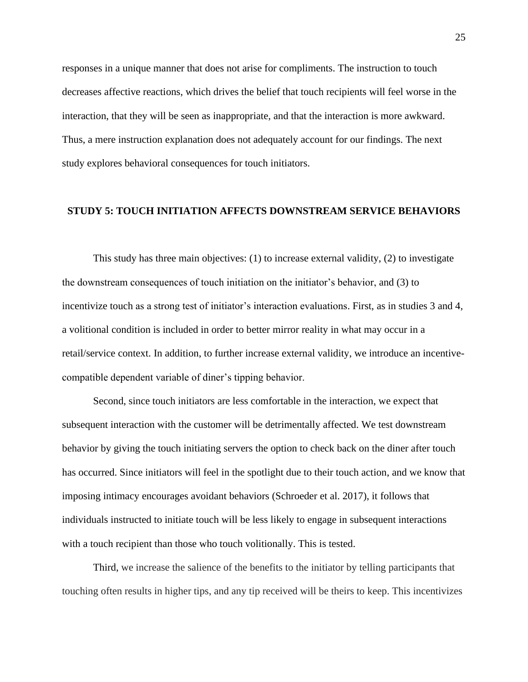responses in a unique manner that does not arise for compliments. The instruction to touch decreases affective reactions, which drives the belief that touch recipients will feel worse in the interaction, that they will be seen as inappropriate, and that the interaction is more awkward. Thus, a mere instruction explanation does not adequately account for our findings. The next study explores behavioral consequences for touch initiators.

#### **STUDY 5: TOUCH INITIATION AFFECTS DOWNSTREAM SERVICE BEHAVIORS**

This study has three main objectives: (1) to increase external validity, (2) to investigate the downstream consequences of touch initiation on the initiator's behavior, and (3) to incentivize touch as a strong test of initiator's interaction evaluations. First, as in studies 3 and 4, a volitional condition is included in order to better mirror reality in what may occur in a retail/service context. In addition, to further increase external validity, we introduce an incentivecompatible dependent variable of diner's tipping behavior.

Second, since touch initiators are less comfortable in the interaction, we expect that subsequent interaction with the customer will be detrimentally affected. We test downstream behavior by giving the touch initiating servers the option to check back on the diner after touch has occurred. Since initiators will feel in the spotlight due to their touch action, and we know that imposing intimacy encourages avoidant behaviors (Schroeder et al. 2017), it follows that individuals instructed to initiate touch will be less likely to engage in subsequent interactions with a touch recipient than those who touch volitionally. This is tested.

Third, we increase the salience of the benefits to the initiator by telling participants that touching often results in higher tips, and any tip received will be theirs to keep. This incentivizes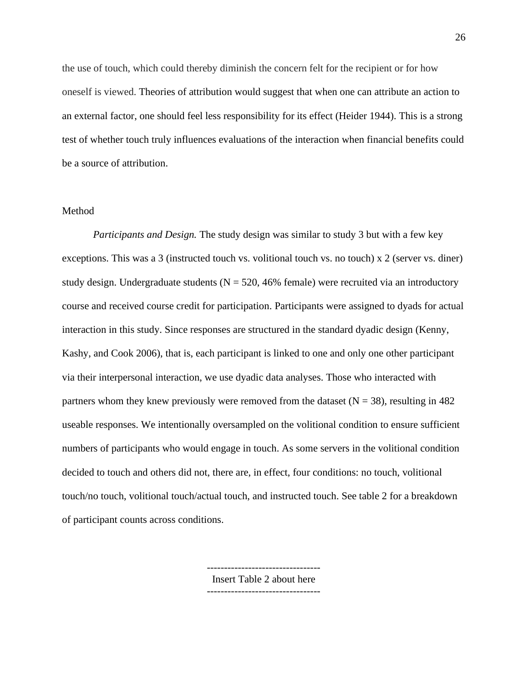the use of touch, which could thereby diminish the concern felt for the recipient or for how oneself is viewed. Theories of attribution would suggest that when one can attribute an action to an external factor, one should feel less responsibility for its effect (Heider 1944). This is a strong test of whether touch truly influences evaluations of the interaction when financial benefits could be a source of attribution.

#### Method

*Participants and Design.* The study design was similar to study 3 but with a few key exceptions. This was a 3 (instructed touch vs. volitional touch vs. no touch) x 2 (server vs. diner) study design. Undergraduate students ( $N = 520, 46\%$  female) were recruited via an introductory course and received course credit for participation. Participants were assigned to dyads for actual interaction in this study. Since responses are structured in the standard dyadic design (Kenny, Kashy, and Cook 2006), that is, each participant is linked to one and only one other participant via their interpersonal interaction, we use dyadic data analyses. Those who interacted with partners whom they knew previously were removed from the dataset  $(N = 38)$ , resulting in 482 useable responses. We intentionally oversampled on the volitional condition to ensure sufficient numbers of participants who would engage in touch. As some servers in the volitional condition decided to touch and others did not, there are, in effect, four conditions: no touch, volitional touch/no touch, volitional touch/actual touch, and instructed touch. See table 2 for a breakdown of participant counts across conditions.

Insert Table 2 about here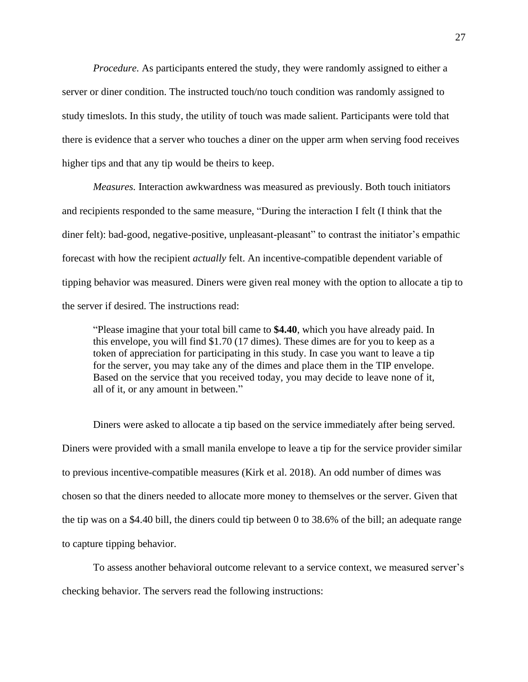*Procedure.* As participants entered the study, they were randomly assigned to either a server or diner condition. The instructed touch/no touch condition was randomly assigned to study timeslots. In this study, the utility of touch was made salient. Participants were told that there is evidence that a server who touches a diner on the upper arm when serving food receives higher tips and that any tip would be theirs to keep.

*Measures.* Interaction awkwardness was measured as previously. Both touch initiators and recipients responded to the same measure, "During the interaction I felt (I think that the diner felt): bad-good, negative-positive, unpleasant-pleasant" to contrast the initiator's empathic forecast with how the recipient *actually* felt. An incentive-compatible dependent variable of tipping behavior was measured. Diners were given real money with the option to allocate a tip to the server if desired. The instructions read:

"Please imagine that your total bill came to **\$4.40**, which you have already paid. In this envelope, you will find \$1.70 (17 dimes). These dimes are for you to keep as a token of appreciation for participating in this study. In case you want to leave a tip for the server, you may take any of the dimes and place them in the TIP envelope. Based on the service that you received today, you may decide to leave none of it, all of it, or any amount in between."

Diners were asked to allocate a tip based on the service immediately after being served. Diners were provided with a small manila envelope to leave a tip for the service provider similar to previous incentive-compatible measures (Kirk et al. 2018). An odd number of dimes was chosen so that the diners needed to allocate more money to themselves or the server. Given that the tip was on a \$4.40 bill, the diners could tip between 0 to 38.6% of the bill; an adequate range to capture tipping behavior.

To assess another behavioral outcome relevant to a service context, we measured server's checking behavior. The servers read the following instructions: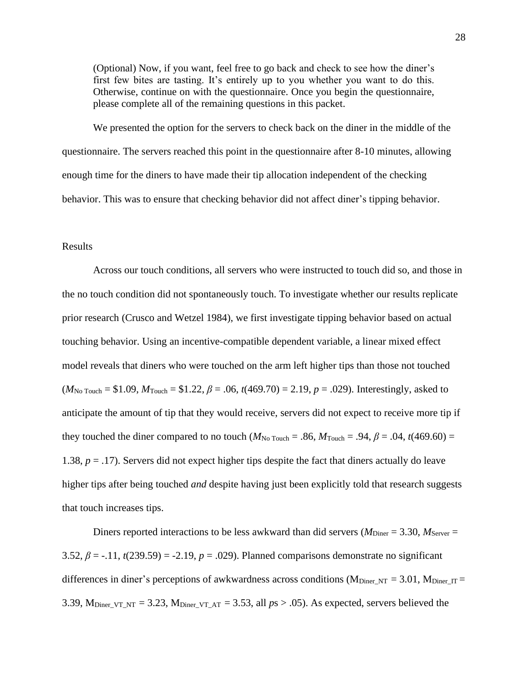(Optional) Now, if you want, feel free to go back and check to see how the diner's first few bites are tasting. It's entirely up to you whether you want to do this. Otherwise, continue on with the questionnaire. Once you begin the questionnaire, please complete all of the remaining questions in this packet.

We presented the option for the servers to check back on the diner in the middle of the questionnaire. The servers reached this point in the questionnaire after 8-10 minutes, allowing enough time for the diners to have made their tip allocation independent of the checking behavior. This was to ensure that checking behavior did not affect diner's tipping behavior.

#### Results

Across our touch conditions, all servers who were instructed to touch did so, and those in the no touch condition did not spontaneously touch. To investigate whether our results replicate prior research (Crusco and Wetzel 1984), we first investigate tipping behavior based on actual touching behavior. Using an incentive-compatible dependent variable, a linear mixed effect model reveals that diners who were touched on the arm left higher tips than those not touched  $(M_{\text{No Touch}} = $1.09, M_{\text{Touch}} = $1.22, \beta = .06, t(469.70) = 2.19, p = .029$ . Interestingly, asked to anticipate the amount of tip that they would receive, servers did not expect to receive more tip if they touched the diner compared to no touch ( $M_{\text{No Touch}} = .86$ ,  $M_{\text{Touch}} = .94$ ,  $\beta = .04$ ,  $t(469.60) =$ 1.38, *p* = .17). Servers did not expect higher tips despite the fact that diners actually do leave higher tips after being touched *and* despite having just been explicitly told that research suggests that touch increases tips.

Diners reported interactions to be less awkward than did servers ( $M_{\text{Diner}} = 3.30$ ,  $M_{\text{Server}} =$ 3.52,  $\beta = -11$ ,  $t(239.59) = -2.19$ ,  $p = .029$ ). Planned comparisons demonstrate no significant differences in diner's perceptions of awkwardness across conditions ( $M_{\text{Diner NT}} = 3.01$ ,  $M_{\text{Diner IT}} =$ 3.39, M<sub>Diner</sub>  $_{\text{VT-NT}} = 3.23$ , M<sub>Diner  $_{\text{VT-AT}} = 3.53$ , all  $p_s > .05$ ). As expected, servers believed the</sub>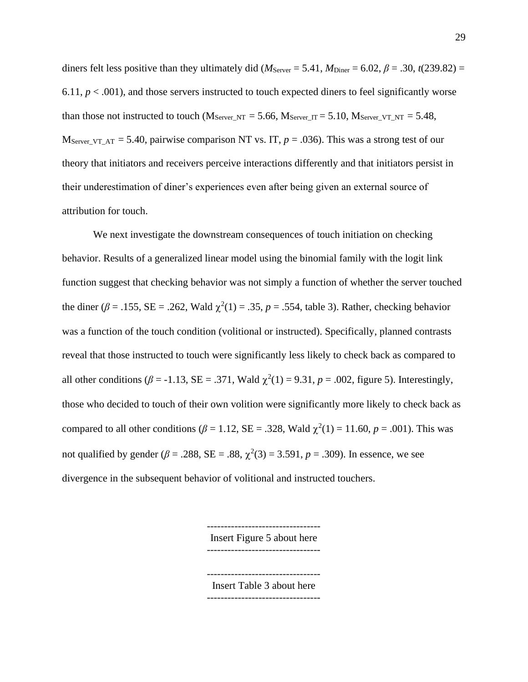diners felt less positive than they ultimately did ( $M_{\text{Server}} = 5.41$ ,  $M_{\text{Diner}} = 6.02$ ,  $\beta = .30$ ,  $t(239.82) =$ 6.11,  $p < .001$ ), and those servers instructed to touch expected diners to feel significantly worse than those not instructed to touch ( $M_{Server\_NT} = 5.66$ ,  $M_{Server\_IT} = 5.10$ ,  $M_{Server\_VT\_NT} = 5.48$ , M<sub>Server\_VT\_AT</sub> = 5.40, pairwise comparison NT vs. IT,  $p = .036$ ). This was a strong test of our theory that initiators and receivers perceive interactions differently and that initiators persist in their underestimation of diner's experiences even after being given an external source of attribution for touch.

We next investigate the downstream consequences of touch initiation on checking behavior. Results of a generalized linear model using the binomial family with the logit link function suggest that checking behavior was not simply a function of whether the server touched the diner ( $\beta$  = .155, SE = .262, Wald  $\chi^2(1)$  = .35,  $p$  = .554, table 3). Rather, checking behavior was a function of the touch condition (volitional or instructed). Specifically, planned contrasts reveal that those instructed to touch were significantly less likely to check back as compared to all other conditions ( $\beta$  = -1.13, SE = .371, Wald  $\chi^2(1) = 9.31$ ,  $p = .002$ , figure 5). Interestingly, those who decided to touch of their own volition were significantly more likely to check back as compared to all other conditions ( $\beta = 1.12$ , SE = .328, Wald  $\chi^2(1) = 11.60$ ,  $p = .001$ ). This was not qualified by gender ( $β = .288$ ,  $SE = .88$ ,  $χ<sup>2</sup>(3) = 3.591$ ,  $p = .309$ ). In essence, we see divergence in the subsequent behavior of volitional and instructed touchers.

> --------------------------------- Insert Figure 5 about here --------------------------------- --------------------------------- Insert Table 3 about here ---------------------------------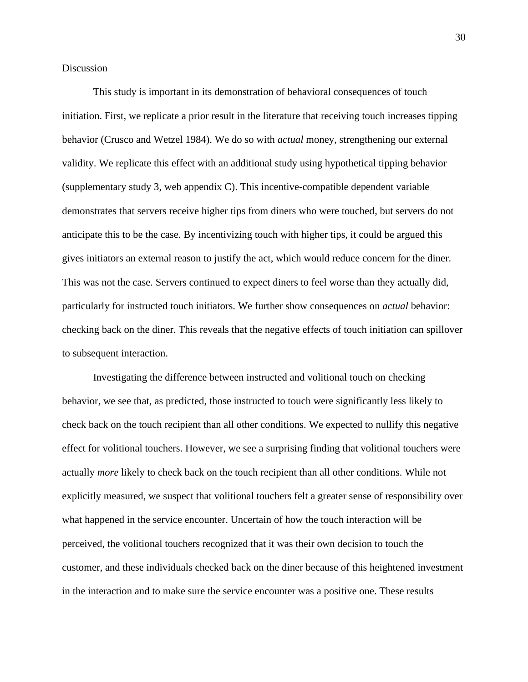Discussion

This study is important in its demonstration of behavioral consequences of touch initiation. First, we replicate a prior result in the literature that receiving touch increases tipping behavior (Crusco and Wetzel 1984). We do so with *actual* money, strengthening our external validity. We replicate this effect with an additional study using hypothetical tipping behavior (supplementary study 3, web appendix C). This incentive-compatible dependent variable demonstrates that servers receive higher tips from diners who were touched, but servers do not anticipate this to be the case. By incentivizing touch with higher tips, it could be argued this gives initiators an external reason to justify the act, which would reduce concern for the diner. This was not the case. Servers continued to expect diners to feel worse than they actually did, particularly for instructed touch initiators. We further show consequences on *actual* behavior: checking back on the diner. This reveals that the negative effects of touch initiation can spillover to subsequent interaction.

Investigating the difference between instructed and volitional touch on checking behavior, we see that, as predicted, those instructed to touch were significantly less likely to check back on the touch recipient than all other conditions. We expected to nullify this negative effect for volitional touchers. However, we see a surprising finding that volitional touchers were actually *more* likely to check back on the touch recipient than all other conditions. While not explicitly measured, we suspect that volitional touchers felt a greater sense of responsibility over what happened in the service encounter. Uncertain of how the touch interaction will be perceived, the volitional touchers recognized that it was their own decision to touch the customer, and these individuals checked back on the diner because of this heightened investment in the interaction and to make sure the service encounter was a positive one. These results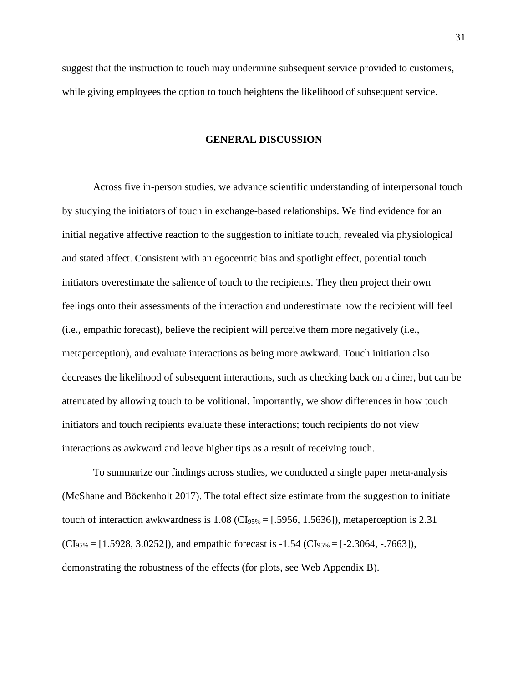suggest that the instruction to touch may undermine subsequent service provided to customers, while giving employees the option to touch heightens the likelihood of subsequent service.

#### **GENERAL DISCUSSION**

Across five in-person studies, we advance scientific understanding of interpersonal touch by studying the initiators of touch in exchange-based relationships. We find evidence for an initial negative affective reaction to the suggestion to initiate touch, revealed via physiological and stated affect. Consistent with an egocentric bias and spotlight effect, potential touch initiators overestimate the salience of touch to the recipients. They then project their own feelings onto their assessments of the interaction and underestimate how the recipient will feel (i.e., empathic forecast), believe the recipient will perceive them more negatively (i.e., metaperception), and evaluate interactions as being more awkward. Touch initiation also decreases the likelihood of subsequent interactions, such as checking back on a diner, but can be attenuated by allowing touch to be volitional. Importantly, we show differences in how touch initiators and touch recipients evaluate these interactions; touch recipients do not view interactions as awkward and leave higher tips as a result of receiving touch.

To summarize our findings across studies, we conducted a single paper meta-analysis (McShane and Böckenholt 2017). The total effect size estimate from the suggestion to initiate touch of interaction awkwardness is  $1.08 \text{ (CI}_{95\%} = [.5956, 1.5636])$ , metaperception is 2.31  $(CI_{95\%} = [1.5928, 3.0252]$ , and empathic forecast is -1.54  $(CI_{95\%} = [-2.3064, -7663])$ , demonstrating the robustness of the effects (for plots, see Web Appendix B).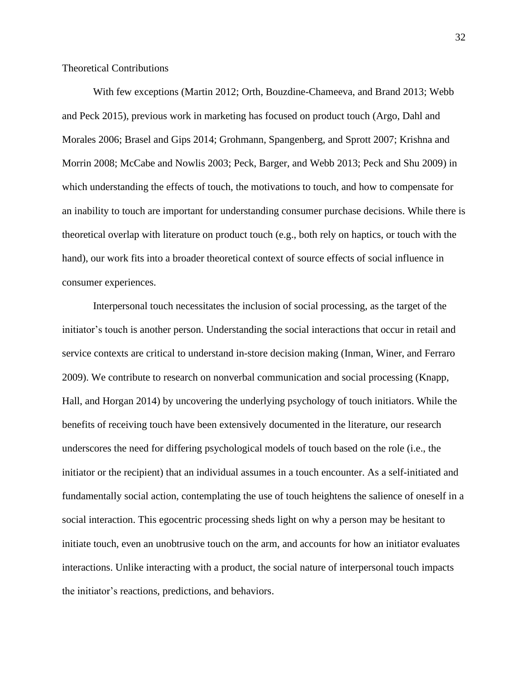Theoretical Contributions

With few exceptions (Martin 2012; Orth, Bouzdine-Chameeva, and Brand 2013; Webb and Peck 2015), previous work in marketing has focused on product touch (Argo, Dahl and Morales 2006; Brasel and Gips 2014; Grohmann, Spangenberg, and Sprott 2007; Krishna and Morrin 2008; McCabe and Nowlis 2003; Peck, Barger, and Webb 2013; Peck and Shu 2009) in which understanding the effects of touch, the motivations to touch, and how to compensate for an inability to touch are important for understanding consumer purchase decisions. While there is theoretical overlap with literature on product touch (e.g., both rely on haptics, or touch with the hand), our work fits into a broader theoretical context of source effects of social influence in consumer experiences.

Interpersonal touch necessitates the inclusion of social processing, as the target of the initiator's touch is another person. Understanding the social interactions that occur in retail and service contexts are critical to understand in-store decision making (Inman, Winer, and Ferraro 2009). We contribute to research on nonverbal communication and social processing (Knapp, Hall, and Horgan 2014) by uncovering the underlying psychology of touch initiators. While the benefits of receiving touch have been extensively documented in the literature, our research underscores the need for differing psychological models of touch based on the role (i.e., the initiator or the recipient) that an individual assumes in a touch encounter. As a self-initiated and fundamentally social action, contemplating the use of touch heightens the salience of oneself in a social interaction. This egocentric processing sheds light on why a person may be hesitant to initiate touch, even an unobtrusive touch on the arm, and accounts for how an initiator evaluates interactions. Unlike interacting with a product, the social nature of interpersonal touch impacts the initiator's reactions, predictions, and behaviors.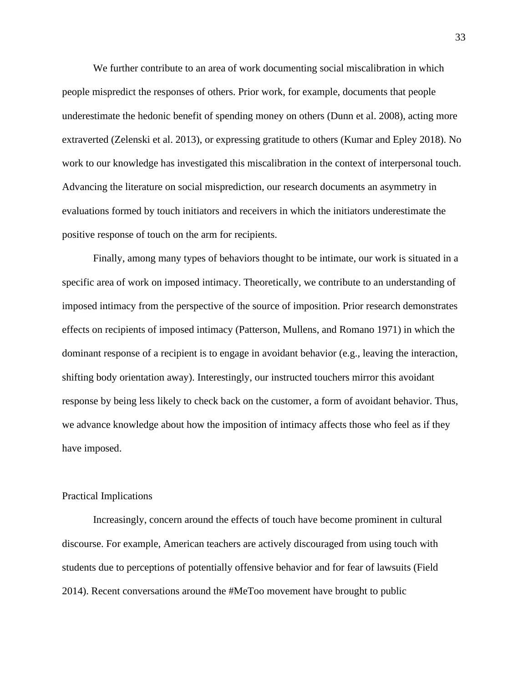We further contribute to an area of work documenting social miscalibration in which people mispredict the responses of others. Prior work, for example, documents that people underestimate the hedonic benefit of spending money on others (Dunn et al. 2008), acting more extraverted (Zelenski et al. 2013), or expressing gratitude to others (Kumar and Epley 2018). No work to our knowledge has investigated this miscalibration in the context of interpersonal touch. Advancing the literature on social misprediction, our research documents an asymmetry in evaluations formed by touch initiators and receivers in which the initiators underestimate the positive response of touch on the arm for recipients.

Finally, among many types of behaviors thought to be intimate, our work is situated in a specific area of work on imposed intimacy. Theoretically, we contribute to an understanding of imposed intimacy from the perspective of the source of imposition. Prior research demonstrates effects on recipients of imposed intimacy (Patterson, Mullens, and Romano 1971) in which the dominant response of a recipient is to engage in avoidant behavior (e.g., leaving the interaction, shifting body orientation away). Interestingly, our instructed touchers mirror this avoidant response by being less likely to check back on the customer, a form of avoidant behavior. Thus, we advance knowledge about how the imposition of intimacy affects those who feel as if they have imposed.

#### Practical Implications

Increasingly, concern around the effects of touch have become prominent in cultural discourse. For example, American teachers are actively discouraged from using touch with students due to perceptions of potentially offensive behavior and for fear of lawsuits (Field 2014). Recent conversations around the #MeToo movement have brought to public

33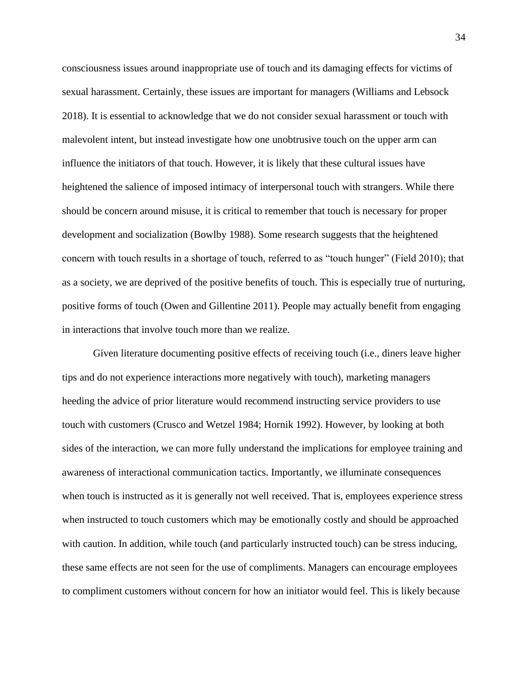consciousness issues around inappropriate use of touch and its damaging effects for victims of sexual harassment. Certainly, these issues are important for managers (Williams and Lebsock 2018). It is essential to acknowledge that we do not consider sexual harassment or touch with malevolent intent, but instead investigate how one unobtrusive touch on the upper arm can influence the initiators of that touch. However, it is likely that these cultural issues have heightened the salience of imposed intimacy of interpersonal touch with strangers. While there should be concern around misuse, it is critical to remember that touch is necessary for proper development and socialization (Bowlby 1988). Some research suggests that the heightened concern with touch results in a shortage of touch, referred to as "touch hunger" (Field 2010); that as a society, we are deprived of the positive benefits of touch. This is especially true of nurturing, positive forms of touch (Owen and Gillentine 2011). People may actually benefit from engaging in interactions that involve touch more than we realize.

Given literature documenting positive effects of receiving touch (i.e., diners leave higher tips and do not experience interactions more negatively with touch), marketing managers heeding the advice of prior literature would recommend instructing service providers to use touch with customers (Crusco and Wetzel 1984; Hornik 1992). However, by looking at both sides of the interaction, we can more fully understand the implications for employee training and awareness of interactional communication tactics. Importantly, we illuminate consequences when touch is instructed as it is generally not well received. That is, employees experience stress when instructed to touch customers which may be emotionally costly and should be approached with caution. In addition, while touch (and particularly instructed touch) can be stress inducing, these same effects are not seen for the use of compliments. Managers can encourage employees to compliment customers without concern for how an initiator would feel. This is likely because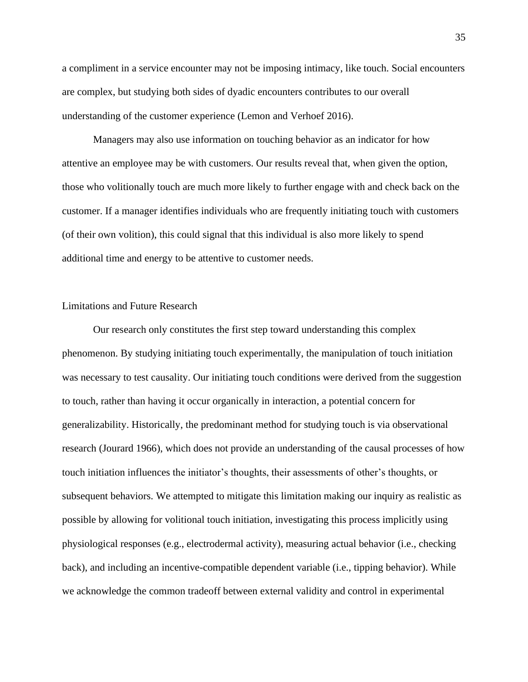a compliment in a service encounter may not be imposing intimacy, like touch. Social encounters are complex, but studying both sides of dyadic encounters contributes to our overall understanding of the customer experience (Lemon and Verhoef 2016).

Managers may also use information on touching behavior as an indicator for how attentive an employee may be with customers. Our results reveal that, when given the option, those who volitionally touch are much more likely to further engage with and check back on the customer. If a manager identifies individuals who are frequently initiating touch with customers (of their own volition), this could signal that this individual is also more likely to spend additional time and energy to be attentive to customer needs.

#### Limitations and Future Research

Our research only constitutes the first step toward understanding this complex phenomenon. By studying initiating touch experimentally, the manipulation of touch initiation was necessary to test causality. Our initiating touch conditions were derived from the suggestion to touch, rather than having it occur organically in interaction, a potential concern for generalizability. Historically, the predominant method for studying touch is via observational research (Jourard 1966), which does not provide an understanding of the causal processes of how touch initiation influences the initiator's thoughts, their assessments of other's thoughts, or subsequent behaviors. We attempted to mitigate this limitation making our inquiry as realistic as possible by allowing for volitional touch initiation, investigating this process implicitly using physiological responses (e.g., electrodermal activity), measuring actual behavior (i.e., checking back), and including an incentive-compatible dependent variable (i.e., tipping behavior). While we acknowledge the common tradeoff between external validity and control in experimental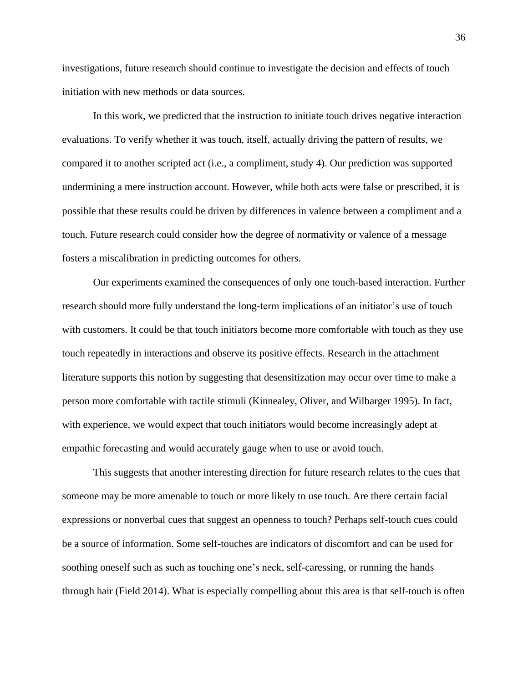investigations, future research should continue to investigate the decision and effects of touch initiation with new methods or data sources.

In this work, we predicted that the instruction to initiate touch drives negative interaction evaluations. To verify whether it was touch, itself, actually driving the pattern of results, we compared it to another scripted act (i.e., a compliment, study 4). Our prediction was supported undermining a mere instruction account. However, while both acts were false or prescribed, it is possible that these results could be driven by differences in valence between a compliment and a touch. Future research could consider how the degree of normativity or valence of a message fosters a miscalibration in predicting outcomes for others.

Our experiments examined the consequences of only one touch-based interaction. Further research should more fully understand the long-term implications of an initiator's use of touch with customers. It could be that touch initiators become more comfortable with touch as they use touch repeatedly in interactions and observe its positive effects. Research in the attachment literature supports this notion by suggesting that desensitization may occur over time to make a person more comfortable with tactile stimuli (Kinnealey, Oliver, and Wilbarger 1995). In fact, with experience, we would expect that touch initiators would become increasingly adept at empathic forecasting and would accurately gauge when to use or avoid touch.

This suggests that another interesting direction for future research relates to the cues that someone may be more amenable to touch or more likely to use touch. Are there certain facial expressions or nonverbal cues that suggest an openness to touch? Perhaps self-touch cues could be a source of information. Some self-touches are indicators of discomfort and can be used for soothing oneself such as such as touching one's neck, self-caressing, or running the hands through hair (Field 2014). What is especially compelling about this area is that self-touch is often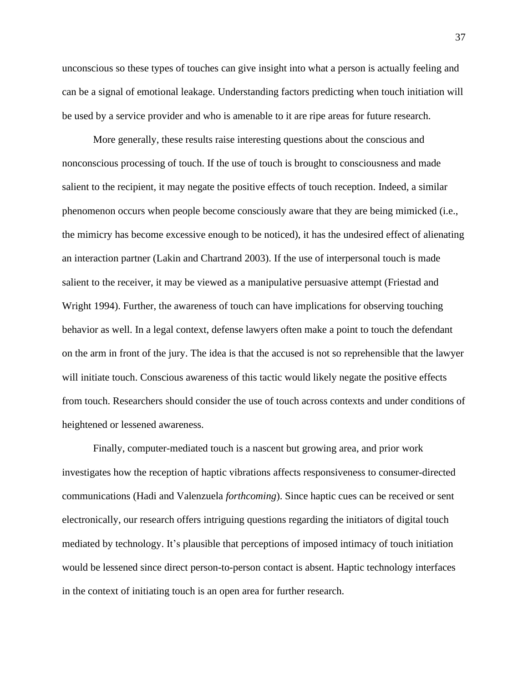unconscious so these types of touches can give insight into what a person is actually feeling and can be a signal of emotional leakage. Understanding factors predicting when touch initiation will be used by a service provider and who is amenable to it are ripe areas for future research.

More generally, these results raise interesting questions about the conscious and nonconscious processing of touch. If the use of touch is brought to consciousness and made salient to the recipient, it may negate the positive effects of touch reception. Indeed, a similar phenomenon occurs when people become consciously aware that they are being mimicked (i.e., the mimicry has become excessive enough to be noticed), it has the undesired effect of alienating an interaction partner (Lakin and Chartrand 2003). If the use of interpersonal touch is made salient to the receiver, it may be viewed as a manipulative persuasive attempt (Friestad and Wright 1994). Further, the awareness of touch can have implications for observing touching behavior as well. In a legal context, defense lawyers often make a point to touch the defendant on the arm in front of the jury. The idea is that the accused is not so reprehensible that the lawyer will initiate touch. Conscious awareness of this tactic would likely negate the positive effects from touch. Researchers should consider the use of touch across contexts and under conditions of heightened or lessened awareness.

Finally, computer-mediated touch is a nascent but growing area, and prior work investigates how the reception of haptic vibrations affects responsiveness to consumer-directed communications (Hadi and Valenzuela *forthcoming*). Since haptic cues can be received or sent electronically, our research offers intriguing questions regarding the initiators of digital touch mediated by technology. It's plausible that perceptions of imposed intimacy of touch initiation would be lessened since direct person-to-person contact is absent. Haptic technology interfaces in the context of initiating touch is an open area for further research.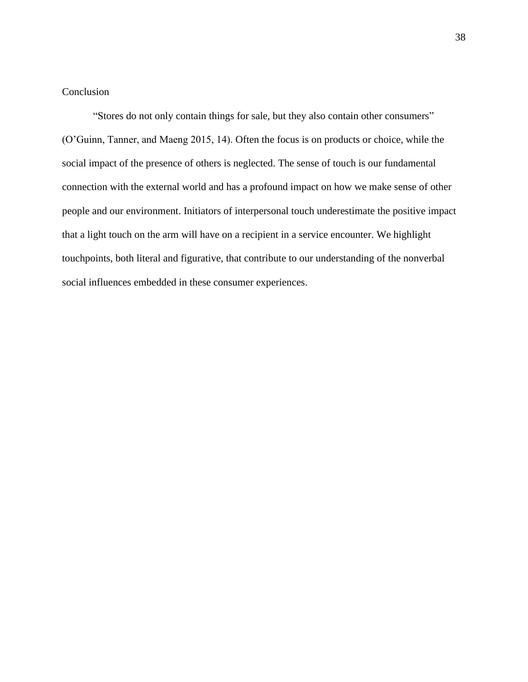#### Conclusion

"Stores do not only contain things for sale, but they also contain other consumers" (O'Guinn, Tanner, and Maeng 2015, 14). Often the focus is on products or choice, while the social impact of the presence of others is neglected. The sense of touch is our fundamental connection with the external world and has a profound impact on how we make sense of other people and our environment. Initiators of interpersonal touch underestimate the positive impact that a light touch on the arm will have on a recipient in a service encounter. We highlight touchpoints, both literal and figurative, that contribute to our understanding of the nonverbal social influences embedded in these consumer experiences.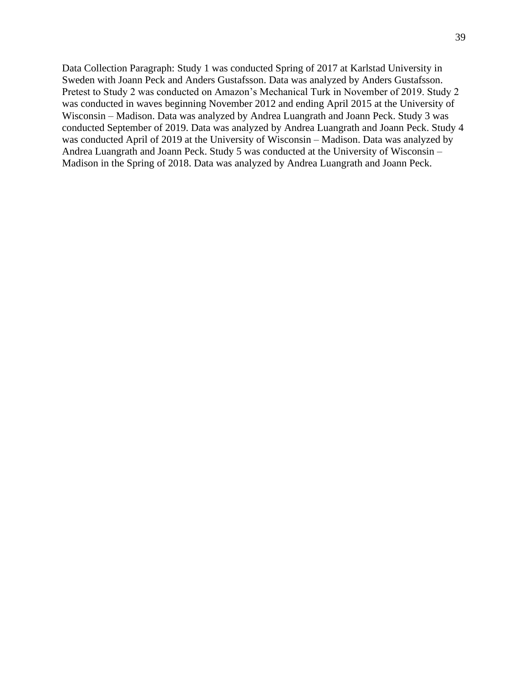Data Collection Paragraph: Study 1 was conducted Spring of 2017 at Karlstad University in Sweden with Joann Peck and Anders Gustafsson. Data was analyzed by Anders Gustafsson. Pretest to Study 2 was conducted on Amazon's Mechanical Turk in November of 2019. Study 2 was conducted in waves beginning November 2012 and ending April 2015 at the University of Wisconsin – Madison. Data was analyzed by Andrea Luangrath and Joann Peck. Study 3 was conducted September of 2019. Data was analyzed by Andrea Luangrath and Joann Peck. Study 4 was conducted April of 2019 at the University of Wisconsin – Madison. Data was analyzed by Andrea Luangrath and Joann Peck. Study 5 was conducted at the University of Wisconsin – Madison in the Spring of 2018. Data was analyzed by Andrea Luangrath and Joann Peck.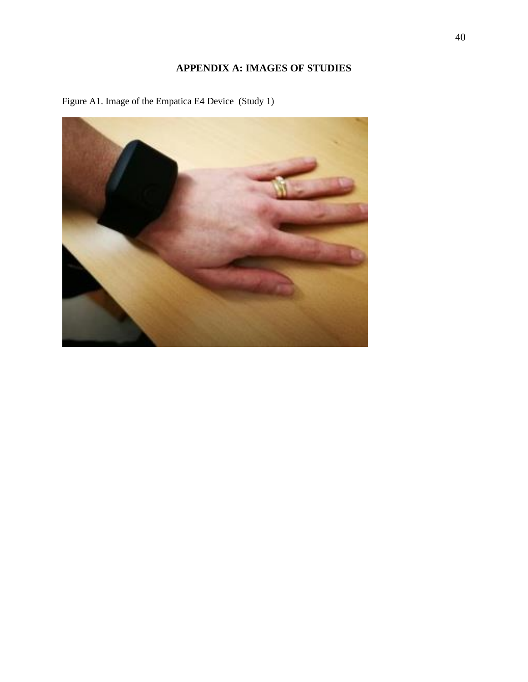## **APPENDIX A: IMAGES OF STUDIES**



Figure A1. Image of the Empatica E4 Device (Study 1)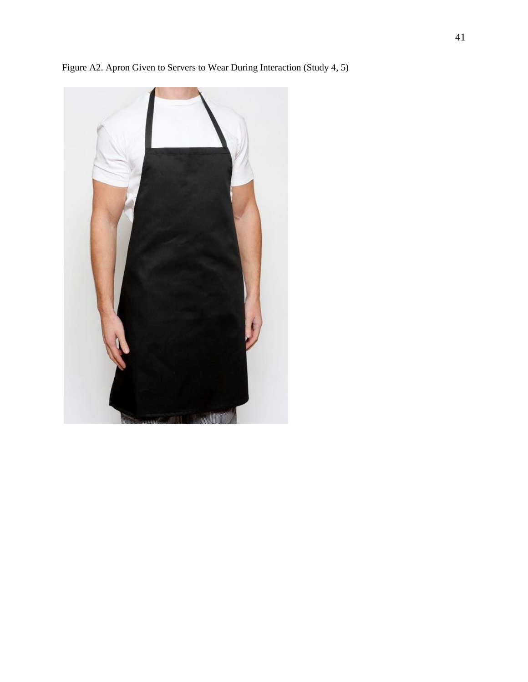

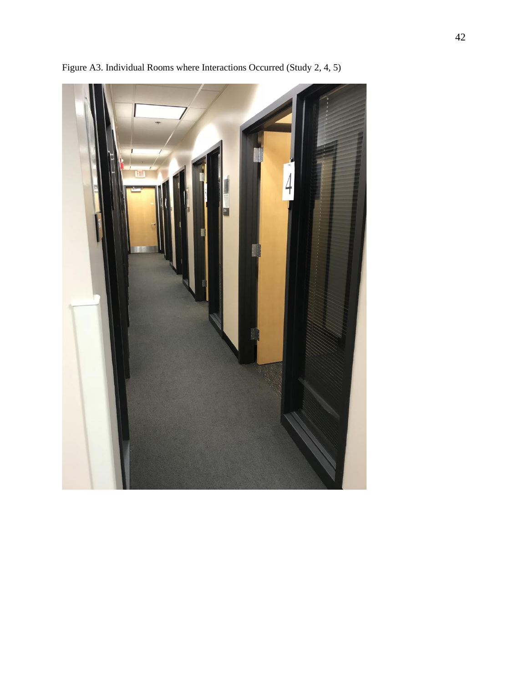

Figure A3. Individual Rooms where Interactions Occurred (Study 2, 4, 5)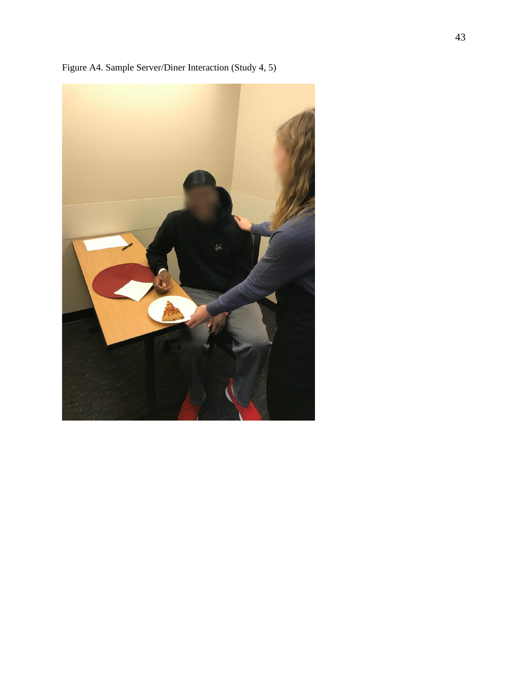

Figure A4. Sample Server/Diner Interaction (Study 4, 5)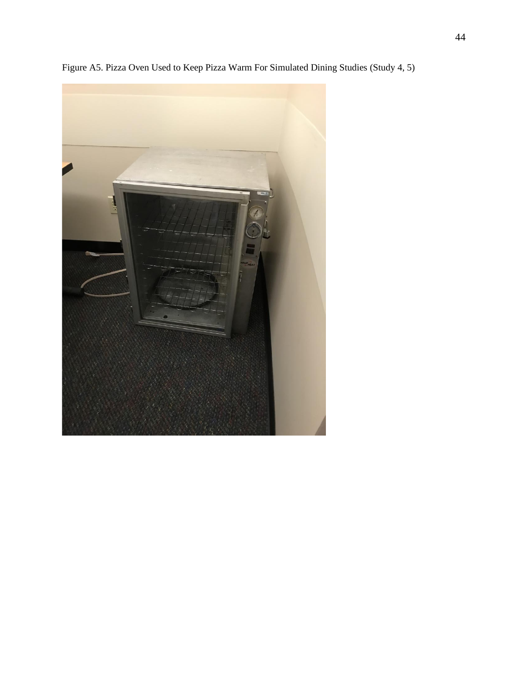

Figure A5. Pizza Oven Used to Keep Pizza Warm For Simulated Dining Studies (Study 4, 5)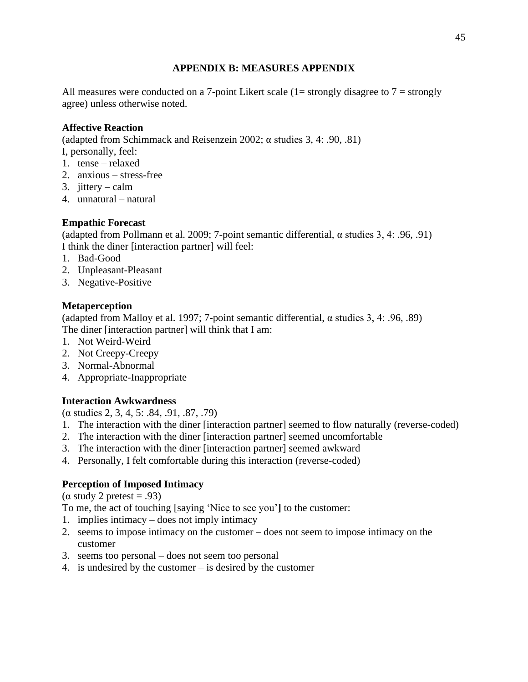## **APPENDIX B: MEASURES APPENDIX**

All measures were conducted on a 7-point Likert scale  $(1=$  strongly disagree to  $7 =$  strongly agree) unless otherwise noted.

## **Affective Reaction**

(adapted from Schimmack and Reisenzein 2002; α studies 3, 4: .90, .81)

- I, personally, feel:
- 1. tense relaxed
- 2. anxious stress-free
- 3. jittery calm
- 4. unnatural natural

## **Empathic Forecast**

(adapted from Pollmann et al. 2009; 7-point semantic differential, α studies 3, 4: .96, .91) I think the diner [interaction partner] will feel:

- 1. Bad-Good
- 2. Unpleasant-Pleasant
- 3. Negative-Positive

## **Metaperception**

(adapted from Malloy et al. 1997; 7-point semantic differential,  $\alpha$  studies 3, 4: .96, .89) The diner [interaction partner] will think that I am:

- 1. Not Weird-Weird
- 2. Not Creepy-Creepy
- 3. Normal-Abnormal
- 4. Appropriate-Inappropriate

## **Interaction Awkwardness**

(α studies 2, 3, 4, 5: .84, .91, .87, .79)

- 1. The interaction with the diner [interaction partner] seemed to flow naturally (reverse-coded)
- 2. The interaction with the diner [interaction partner] seemed uncomfortable
- 3. The interaction with the diner [interaction partner] seemed awkward
- 4. Personally, I felt comfortable during this interaction (reverse-coded)

## **Perception of Imposed Intimacy**

( $\alpha$  study 2 pretest = .93)

To me, the act of touching [saying 'Nice to see you'**]** to the customer:

- 1. implies intimacy does not imply intimacy
- 2. seems to impose intimacy on the customer does not seem to impose intimacy on the customer
- 3. seems too personal does not seem too personal
- 4. is undesired by the customer is desired by the customer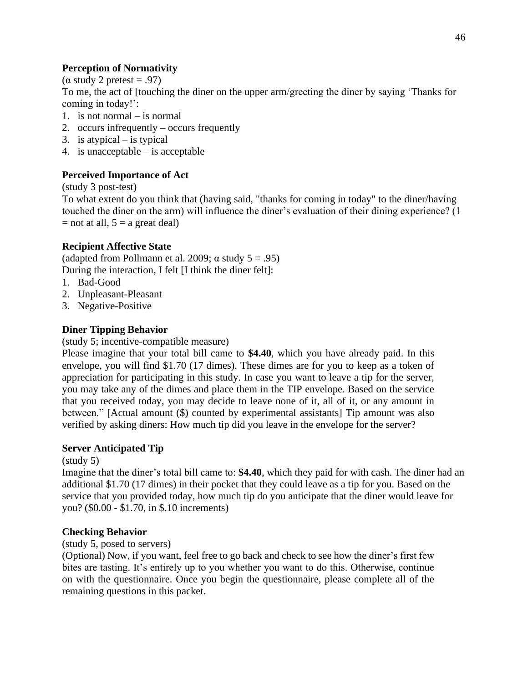## **Perception of Normativity**

( $\alpha$  study 2 pretest = .97)

To me, the act of [touching the diner on the upper arm/greeting the diner by saying 'Thanks for coming in today!':

- 1. is not normal is normal
- 2. occurs infrequently occurs frequently
- 3. is atypical  $-$  is typical
- 4. is unacceptable is acceptable

## **Perceived Importance of Act**

#### (study 3 post-test)

To what extent do you think that (having said, "thanks for coming in today" to the diner/having touched the diner on the arm) will influence the diner's evaluation of their dining experience? (1  $=$  not at all,  $5 = a$  great deal)

## **Recipient Affective State**

(adapted from Pollmann et al. 2009;  $\alpha$  study 5 = .95) During the interaction, I felt [I think the diner felt]:

- 1. Bad-Good
- 2. Unpleasant-Pleasant
- 3. Negative-Positive

## **Diner Tipping Behavior**

#### (study 5; incentive-compatible measure)

Please imagine that your total bill came to **\$4.40**, which you have already paid. In this envelope, you will find \$1.70 (17 dimes). These dimes are for you to keep as a token of appreciation for participating in this study. In case you want to leave a tip for the server, you may take any of the dimes and place them in the TIP envelope. Based on the service that you received today, you may decide to leave none of it, all of it, or any amount in between." [Actual amount (\$) counted by experimental assistants] Tip amount was also verified by asking diners: How much tip did you leave in the envelope for the server?

#### **Server Anticipated Tip**

#### (study 5)

Imagine that the diner's total bill came to: **\$4.40**, which they paid for with cash. The diner had an additional \$1.70 (17 dimes) in their pocket that they could leave as a tip for you. Based on the service that you provided today, how much tip do you anticipate that the diner would leave for you? (\$0.00 - \$1.70, in \$.10 increments)

#### **Checking Behavior**

#### (study 5, posed to servers)

(Optional) Now, if you want, feel free to go back and check to see how the diner's first few bites are tasting. It's entirely up to you whether you want to do this. Otherwise, continue on with the questionnaire. Once you begin the questionnaire, please complete all of the remaining questions in this packet.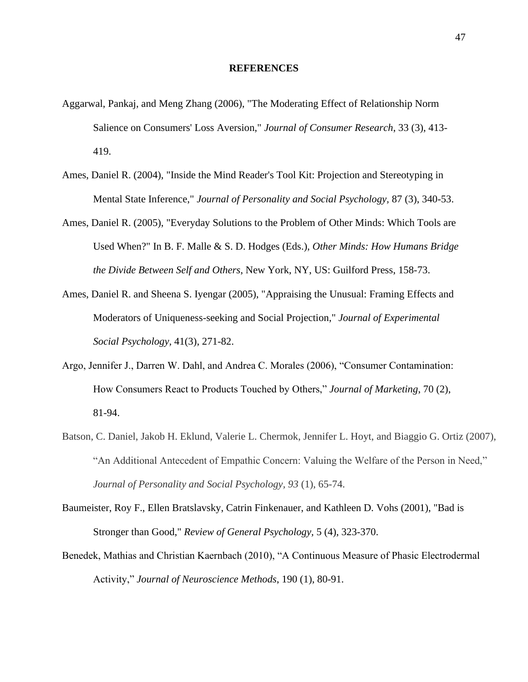#### **REFERENCES**

- Aggarwal, Pankaj, and Meng Zhang (2006), "The Moderating Effect of Relationship Norm Salience on Consumers' Loss Aversion," *Journal of Consumer Research*, 33 (3), 413- 419.
- Ames, Daniel R. (2004), "Inside the Mind Reader's Tool Kit: Projection and Stereotyping in Mental State Inference," *Journal of Personality and Social Psychology,* 87 (3), 340-53.
- Ames, Daniel R. (2005), "Everyday Solutions to the Problem of Other Minds: Which Tools are Used When?" In B. F. Malle & S. D. Hodges (Eds.), *Other Minds: How Humans Bridge the Divide Between Self and Others*, New York, NY, US: Guilford Press, 158-73.
- Ames, Daniel R. and Sheena S. Iyengar (2005), "Appraising the Unusual: Framing Effects and Moderators of Uniqueness-seeking and Social Projection," *Journal of Experimental Social Psychology,* 41(3), 271-82.
- Argo, Jennifer J., Darren W. Dahl, and Andrea C. Morales (2006), "Consumer Contamination: How Consumers React to Products Touched by Others," *Journal of Marketing*, 70 (2), 81-94.
- Batson, C. Daniel, Jakob H. Eklund, Valerie L. Chermok, Jennifer L. Hoyt, and Biaggio G. Ortiz (2007), "An Additional Antecedent of Empathic Concern: Valuing the Welfare of the Person in Need," *Journal of Personality and Social Psychology, 93* (1), 65-74.
- Baumeister, Roy F., Ellen Bratslavsky, Catrin Finkenauer, and Kathleen D. Vohs (2001), "Bad is Stronger than Good," *Review of General Psychology,* 5 (4), 323-370.
- Benedek, Mathias and Christian Kaernbach (2010), "A Continuous Measure of Phasic Electrodermal Activity," *Journal of Neuroscience Methods*, 190 (1), 80-91.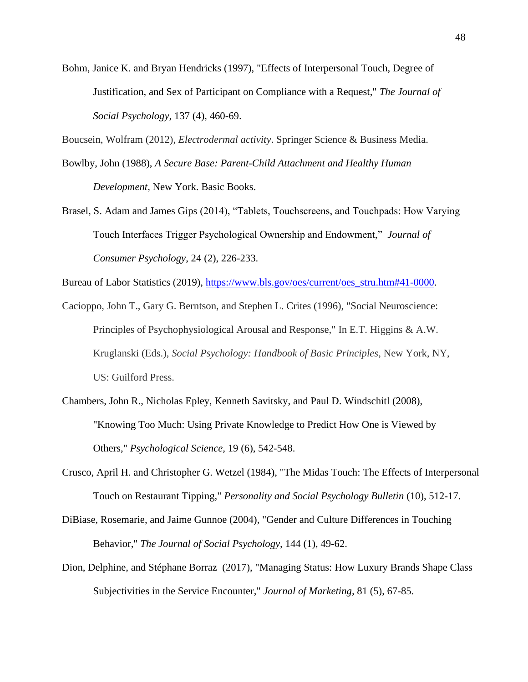Bohm, Janice K. and Bryan Hendricks (1997), "Effects of Interpersonal Touch, Degree of Justification, and Sex of Participant on Compliance with a Request," *The Journal of Social Psychology*, 137 (4), 460-69.

Boucsein, Wolfram (2012), *Electrodermal activity*. Springer Science & Business Media.

- Bowlby, John (1988), *A Secure Base: Parent-Child Attachment and Healthy Human Development,* New York. Basic Books.
- Brasel, S. Adam and James Gips (2014), "Tablets, Touchscreens, and Touchpads: How Varying Touch Interfaces Trigger Psychological Ownership and Endowment," *Journal of Consumer Psychology*, 24 (2), 226-233.

Bureau of Labor Statistics (2019), [https://www.bls.gov/oes/current/oes\\_stru.htm#41-0000.](https://www.bls.gov/oes/current/oes_stru.htm#41-0000)

Cacioppo, John T., Gary G. Berntson, and Stephen L. Crites (1996), "Social Neuroscience: Principles of Psychophysiological Arousal and Response," In E.T. Higgins & A.W. Kruglanski (Eds.), *Social Psychology: Handbook of Basic Principles*, New York, NY, US: Guilford Press.

- Chambers, John R., Nicholas Epley, Kenneth Savitsky, and Paul D. Windschitl (2008), "Knowing Too Much: Using Private Knowledge to Predict How One is Viewed by Others," *Psychological Science,* 19 (6), 542-548.
- Crusco, April H. and Christopher G. Wetzel (1984), "The Midas Touch: The Effects of Interpersonal Touch on Restaurant Tipping," *Personality and Social Psychology Bulletin* (10), 512-17.
- DiBiase, Rosemarie, and Jaime Gunnoe (2004), "Gender and Culture Differences in Touching Behavior," *The Journal of Social Psychology,* 144 (1), 49-62.
- Dion, Delphine, and Stéphane Borraz (2017), "Managing Status: How Luxury Brands Shape Class Subjectivities in the Service Encounter," *Journal of Marketing,* 81 (5), 67-85.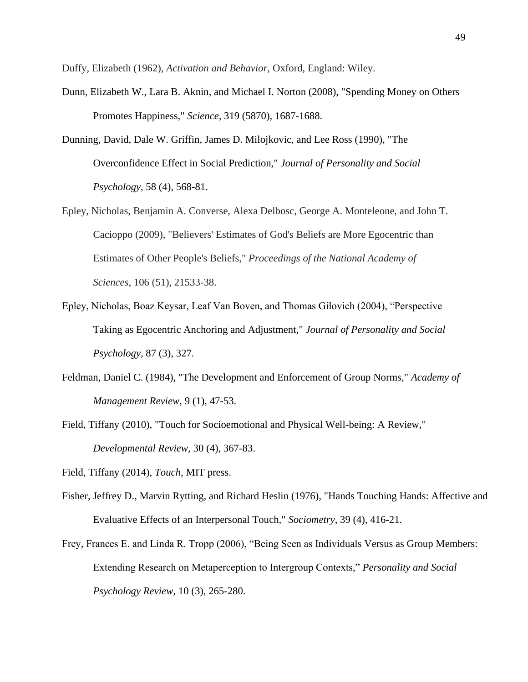Duffy, Elizabeth (1962), *Activation and Behavior,* Oxford, England: Wiley.

- Dunn, Elizabeth W., Lara B. Aknin, and Michael I. Norton (2008), "Spending Money on Others Promotes Happiness," *Science,* 319 (5870), 1687-1688.
- Dunning, David, Dale W. Griffin, James D. Milojkovic, and Lee Ross (1990), "The Overconfidence Effect in Social Prediction," *Journal of Personality and Social Psychology,* 58 (4), 568-81.
- Epley, Nicholas, Benjamin A. Converse, Alexa Delbosc, George A. Monteleone, and John T. Cacioppo (2009), "Believers' Estimates of God's Beliefs are More Egocentric than Estimates of Other People's Beliefs," *Proceedings of the National Academy of Sciences,* 106 (51), 21533-38.
- Epley, Nicholas, Boaz Keysar, Leaf Van Boven, and Thomas Gilovich (2004), "Perspective Taking as Egocentric Anchoring and Adjustment," *Journal of Personality and Social Psychology,* 87 (3), 327.
- Feldman, Daniel C. (1984), "The Development and Enforcement of Group Norms," *Academy of Management Review,* 9 (1), 47-53.
- Field, Tiffany (2010), "Touch for Socioemotional and Physical Well-being: A Review," *Developmental Review,* 30 (4), 367-83.

- Fisher, Jeffrey D., Marvin Rytting, and Richard Heslin (1976), "Hands Touching Hands: Affective and Evaluative Effects of an Interpersonal Touch," *Sociometry*, 39 (4), 416-21.
- Frey, Frances E. and Linda R. Tropp (2006), "Being Seen as Individuals Versus as Group Members: Extending Research on Metaperception to Intergroup Contexts," *Personality and Social Psychology Review,* 10 (3), 265-280.

Field, Tiffany (2014), *Touch*, MIT press.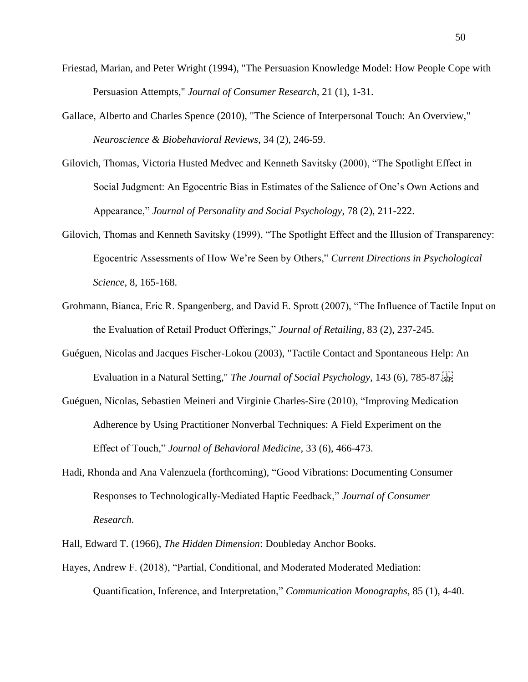- Friestad, Marian, and Peter Wright (1994), "The Persuasion Knowledge Model: How People Cope with Persuasion Attempts," *Journal of Consumer Research,* 21 (1), 1-31.
- Gallace, Alberto and Charles Spence (2010), "The Science of Interpersonal Touch: An Overview," *Neuroscience & Biobehavioral Reviews*, 34 (2), 246-59.
- Gilovich, Thomas, Victoria Husted Medvec and Kenneth Savitsky (2000), "The Spotlight Effect in Social Judgment: An Egocentric Bias in Estimates of the Salience of One's Own Actions and Appearance," *Journal of Personality and Social Psychology*, 78 (2), 211-222.
- Gilovich, Thomas and Kenneth Savitsky (1999), "The Spotlight Effect and the Illusion of Transparency: Egocentric Assessments of How We're Seen by Others," *Current Directions in Psychological Science*, 8, 165-168.
- Grohmann, Bianca, Eric R. Spangenberg, and David E. Sprott (2007), "The Influence of Tactile Input on the Evaluation of Retail Product Offerings," *Journal of Retailing,* 83 (2), 237-245.
- Guéguen, Nicolas and Jacques Fischer-Lokou (2003), "Tactile Contact and Spontaneous Help: An Evaluation in a Natural Setting," *The Journal of Social Psychology*, 143 (6), 785-87.
- Guéguen, Nicolas, Sebastien Meineri and Virginie Charles-Sire (2010), "Improving Medication Adherence by Using Practitioner Nonverbal Techniques: A Field Experiment on the Effect of Touch," *Journal of Behavioral Medicine,* 33 (6), 466-473.
- Hadi, Rhonda and Ana Valenzuela (forthcoming), "Good Vibrations: Documenting Consumer Responses to Technologically-Mediated Haptic Feedback," *Journal of Consumer Research*.
- Hall, Edward T. (1966), *The Hidden Dimension*: Doubleday Anchor Books.
- Hayes, Andrew F. (2018), "Partial, Conditional, and Moderated Moderated Mediation: Quantification, Inference, and Interpretation," *Communication Monographs,* 85 (1), 4-40.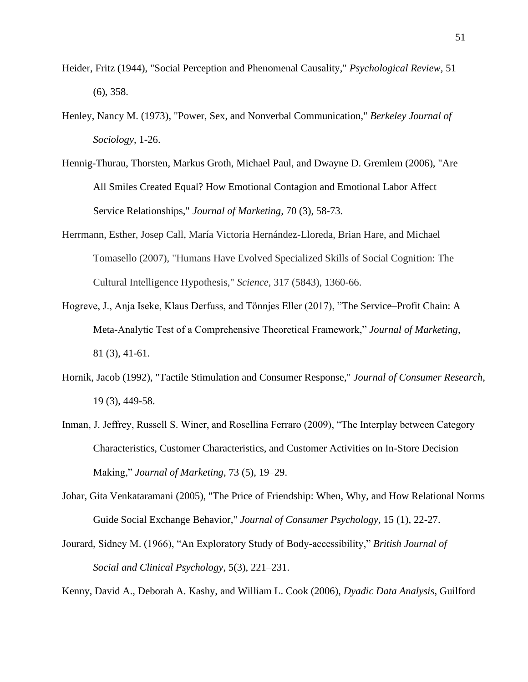- Heider, Fritz (1944), "Social Perception and Phenomenal Causality," *Psychological Review,* 51 (6), 358.
- Henley, Nancy M. (1973), "Power, Sex, and Nonverbal Communication," *Berkeley Journal of Sociology*, 1-26.
- Hennig-Thurau, Thorsten, Markus Groth, Michael Paul, and Dwayne D. Gremlem (2006), "Are All Smiles Created Equal? How Emotional Contagion and Emotional Labor Affect Service Relationships," *Journal of Marketing,* 70 (3), 58-73.
- Herrmann, Esther, Josep Call, María Victoria Hernández-Lloreda, Brian Hare, and Michael Tomasello (2007), "Humans Have Evolved Specialized Skills of Social Cognition: The Cultural Intelligence Hypothesis," *Science,* 317 (5843), 1360-66.
- Hogreve, J., Anja Iseke, Klaus Derfuss, and Tönnjes Eller (2017), "The Service–Profit Chain: A Meta-Analytic Test of a Comprehensive Theoretical Framework," *Journal of Marketing*, 81 (3), 41-61.
- Hornik, Jacob (1992), "Tactile Stimulation and Consumer Response," *Journal of Consumer Research*, 19 (3), 449-58.
- Inman, J. Jeffrey, Russell S. Winer, and Rosellina Ferraro (2009), "The Interplay between Category Characteristics, Customer Characteristics, and Customer Activities on In-Store Decision Making," *Journal of Marketing*, 73 (5), 19–29.
- Johar, Gita Venkataramani (2005), "The Price of Friendship: When, Why, and How Relational Norms Guide Social Exchange Behavior," *Journal of Consumer Psychology,* 15 (1), 22-27.
- Jourard, Sidney M. (1966), "An Exploratory Study of Body-accessibility," *British Journal of Social and Clinical Psychology*, 5(3), 221–231.

Kenny, David A., Deborah A. Kashy, and William L. Cook (2006), *Dyadic Data Analysis*, Guilford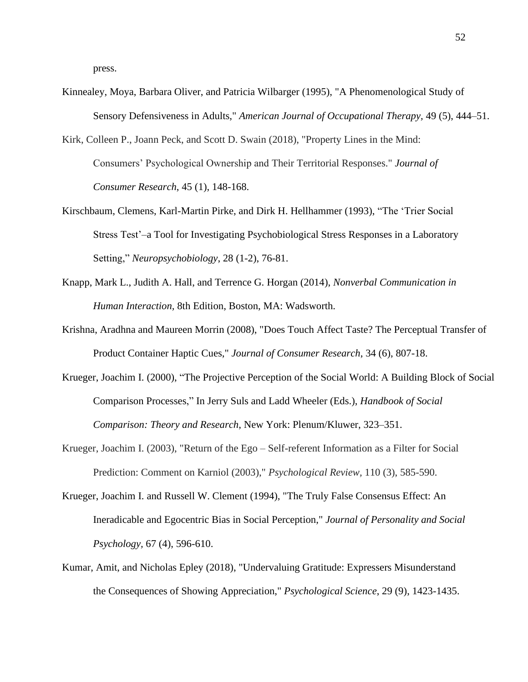press.

- Kinnealey, Moya, Barbara Oliver, and Patricia Wilbarger (1995), "A Phenomenological Study of Sensory Defensiveness in Adults," *American Journal of Occupational Therapy,* 49 (5), 444–51.
- Kirk, Colleen P., Joann Peck, and Scott D. Swain (2018), "Property Lines in the Mind: Consumers' Psychological Ownership and Their Territorial Responses." *Journal of Consumer Research*, 45 (1), 148-168.
- Kirschbaum, Clemens, Karl-Martin Pirke, and Dirk H. Hellhammer (1993), "The 'Trier Social Stress Test'–a Tool for Investigating Psychobiological Stress Responses in a Laboratory Setting," *Neuropsychobiology*, 28 (1-2), 76-81.
- Knapp, Mark L., Judith A. Hall, and Terrence G. Horgan (2014), *Nonverbal Communication in Human Interaction,* 8th Edition, Boston, MA: Wadsworth.
- Krishna, Aradhna and Maureen Morrin (2008), "Does Touch Affect Taste? The Perceptual Transfer of Product Container Haptic Cues," *Journal of Consumer Research*, 34 (6), 807-18.
- Krueger, Joachim I. (2000), "The Projective Perception of the Social World: A Building Block of Social Comparison Processes," In Jerry Suls and Ladd Wheeler (Eds.), *Handbook of Social Comparison: Theory and Research*, New York: Plenum/Kluwer, 323–351.
- Krueger, Joachim I. (2003), "Return of the Ego Self-referent Information as a Filter for Social Prediction: Comment on Karniol (2003)," *Psychological Review,* 110 (3), 585-590.
- Krueger, Joachim I. and Russell W. Clement (1994), "The Truly False Consensus Effect: An Ineradicable and Egocentric Bias in Social Perception," *Journal of Personality and Social Psychology,* 67 (4), 596-610.
- Kumar, Amit, and Nicholas Epley (2018), "Undervaluing Gratitude: Expressers Misunderstand the Consequences of Showing Appreciation," *Psychological Science*, 29 (9), 1423-1435.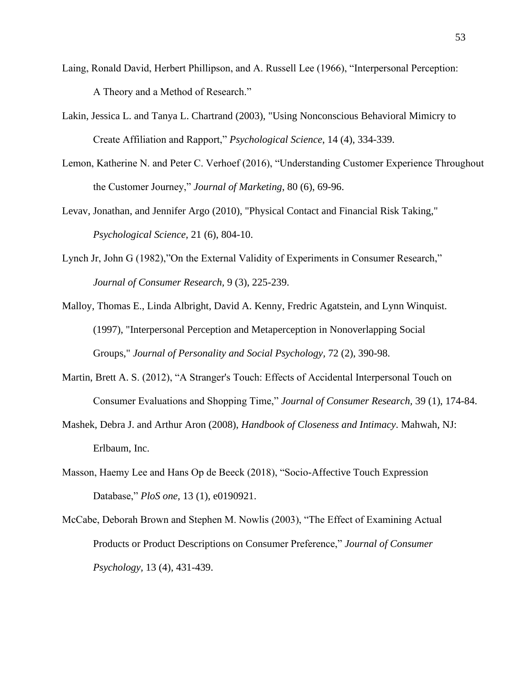- Laing, Ronald David, Herbert Phillipson, and A. Russell Lee (1966), "Interpersonal Perception: A Theory and a Method of Research."
- Lakin, Jessica L. and Tanya L. Chartrand (2003), "Using Nonconscious Behavioral Mimicry to Create Affiliation and Rapport," *Psychological Science*, 14 (4), 334-339.
- Lemon, Katherine N. and Peter C. Verhoef (2016), "Understanding Customer Experience Throughout the Customer Journey," *Journal of Marketing*, 80 (6), 69-96.
- Levav, Jonathan, and Jennifer Argo (2010), "Physical Contact and Financial Risk Taking," *Psychological Science,* 21 (6), 804-10.
- Lynch Jr, John G (1982),"On the External Validity of Experiments in Consumer Research," *Journal of Consumer Research,* 9 (3), 225-239.
- Malloy, Thomas E., Linda Albright, David A. Kenny, Fredric Agatstein, and Lynn Winquist. (1997), "Interpersonal Perception and Metaperception in Nonoverlapping Social Groups," *Journal of Personality and Social Psychology,* 72 (2), 390-98.
- Martin, Brett A. S. (2012), "A Stranger's Touch: Effects of Accidental Interpersonal Touch on Consumer Evaluations and Shopping Time," *Journal of Consumer Research,* 39 (1), 174-84.
- Mashek, Debra J. and Arthur Aron (2008), *Handbook of Closeness and Intimacy*. Mahwah, NJ: Erlbaum, Inc.
- Masson, Haemy Lee and Hans Op de Beeck (2018), "Socio-Affective Touch Expression Database," *PloS one,* 13 (1), e0190921.
- McCabe, Deborah Brown and Stephen M. Nowlis (2003), "The Effect of Examining Actual Products or Product Descriptions on Consumer Preference," *Journal of Consumer Psychology,* 13 (4), 431-439.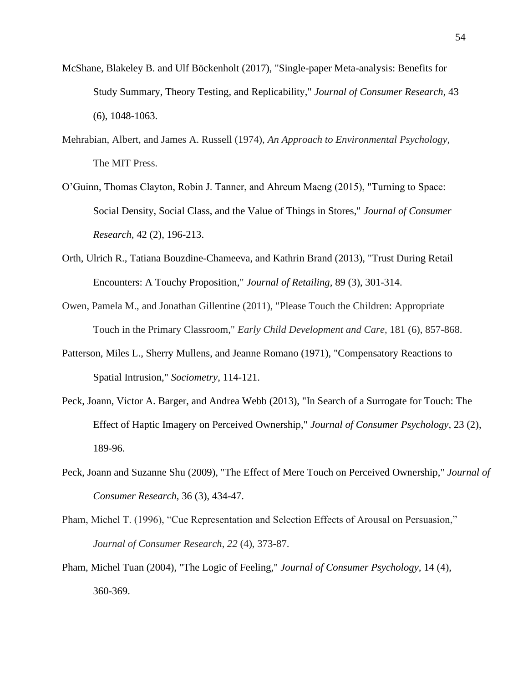- McShane, Blakeley B. and Ulf Böckenholt (2017), "Single-paper Meta-analysis: Benefits for Study Summary, Theory Testing, and Replicability," *Journal of Consumer Research,* 43 (6), 1048-1063.
- Mehrabian, Albert, and James A. Russell (1974), *An Approach to Environmental Psychology*, The MIT Press.
- O'Guinn, Thomas Clayton, Robin J. Tanner, and Ahreum Maeng (2015), "Turning to Space: Social Density, Social Class, and the Value of Things in Stores," *Journal of Consumer Research,* 42 (2), 196-213.
- Orth, Ulrich R., Tatiana Bouzdine-Chameeva, and Kathrin Brand (2013), "Trust During Retail Encounters: A Touchy Proposition," *Journal of Retailing,* 89 (3), 301-314.
- Owen, Pamela M., and Jonathan Gillentine (2011), "Please Touch the Children: Appropriate Touch in the Primary Classroom," *Early Child Development and Care,* 181 (6), 857-868.
- Patterson, Miles L., Sherry Mullens, and Jeanne Romano (1971), "Compensatory Reactions to Spatial Intrusion," *Sociometry*, 114-121.
- Peck, Joann, Victor A. Barger, and Andrea Webb (2013), "In Search of a Surrogate for Touch: The Effect of Haptic Imagery on Perceived Ownership," *Journal of Consumer Psychology,* 23 (2), 189-96.
- Peck, Joann and Suzanne Shu (2009), "The Effect of Mere Touch on Perceived Ownership," *Journal of Consumer Research*, 36 (3), 434-47.
- Pham, Michel T. (1996), "Cue Representation and Selection Effects of Arousal on Persuasion," *Journal of Consumer Research*, *22* (4), 373-87.
- Pham, Michel Tuan (2004), "The Logic of Feeling," *Journal of Consumer Psychology,* 14 (4), 360-369.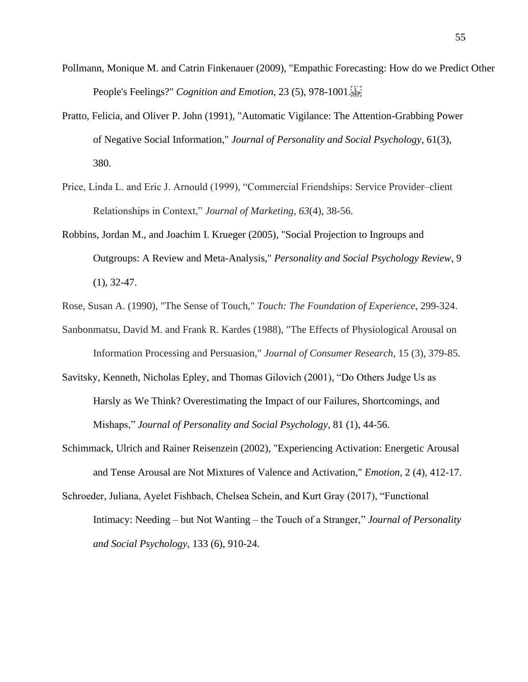- Pollmann, Monique M. and Catrin Finkenauer (2009), "Empathic Forecasting: How do we Predict Other People's Feelings?" *Cognition and Emotion,* 23 (5), 978-1001.
- Pratto, Felicia, and Oliver P. John (1991), "Automatic Vigilance: The Attention-Grabbing Power of Negative Social Information," *Journal of Personality and Social Psychology*, 61(3), 380.
- Price, Linda L. and Eric J. Arnould (1999), "Commercial Friendships: Service Provider–client Relationships in Context," *Journal of Marketing*, *63*(4), 38-56.
- Robbins, Jordan M., and Joachim I. Krueger (2005), "Social Projection to Ingroups and Outgroups: A Review and Meta-Analysis," *Personality and Social Psychology Review*, 9  $(1), 32-47.$
- Rose, Susan A. (1990), "The Sense of Touch," *Touch: The Foundation of Experience*, 299-324.
- Sanbonmatsu, David M. and Frank R. Kardes (1988), "The Effects of Physiological Arousal on Information Processing and Persuasion," *Journal of Consumer Research,* 15 (3), 379-85.
- Savitsky, Kenneth, Nicholas Epley, and Thomas Gilovich (2001), "Do Others Judge Us as Harsly as We Think? Overestimating the Impact of our Failures, Shortcomings, and Mishaps," *Journal of Personality and Social Psychology*, 81 (1), 44-56.
- Schimmack, Ulrich and Rainer Reisenzein (2002), "Experiencing Activation: Energetic Arousal and Tense Arousal are Not Mixtures of Valence and Activation," *Emotion,* 2 (4), 412-17.
- Schroeder, Juliana, Ayelet Fishbach, Chelsea Schein, and Kurt Gray (2017), "Functional Intimacy: Needing – but Not Wanting – the Touch of a Stranger," *Journal of Personality and Social Psychology,* 133 (6), 910-24.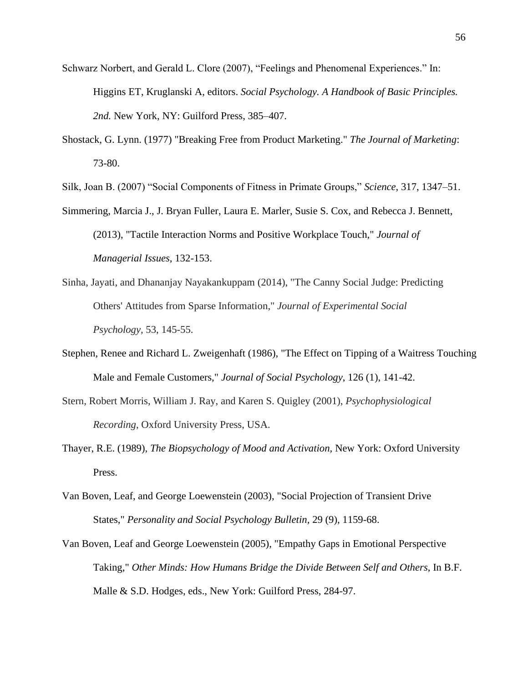- Schwarz Norbert, and Gerald L. Clore (2007), "Feelings and Phenomenal Experiences." In: Higgins ET, Kruglanski A, editors. *Social Psychology. A Handbook of Basic Principles. 2nd.* New York, NY: Guilford Press, 385–407.
- Shostack, G. Lynn. (1977) "Breaking Free from Product Marketing." *The Journal of Marketing*: 73-80.

Silk, Joan B. (2007) "Social Components of Fitness in Primate Groups," *Science*, 317, 1347–51.

- Simmering, Marcia J., J. Bryan Fuller, Laura E. Marler, Susie S. Cox, and Rebecca J. Bennett, (2013), "Tactile Interaction Norms and Positive Workplace Touch," *Journal of Managerial Issues*, 132-153.
- Sinha, Jayati, and Dhananjay Nayakankuppam (2014), "The Canny Social Judge: Predicting Others' Attitudes from Sparse Information," *Journal of Experimental Social Psychology,* 53, 145-55.
- Stephen, Renee and Richard L. Zweigenhaft (1986), "The Effect on Tipping of a Waitress Touching Male and Female Customers," *Journal of Social Psychology*, 126 (1), 141-42.
- Stern, Robert Morris, William J. Ray, and Karen S. Quigley (2001), *Psychophysiological Recording*, Oxford University Press, USA.
- Thayer, R.E. (1989), *The Biopsychology of Mood and Activation,* New York: Oxford University Press.
- Van Boven, Leaf, and George Loewenstein (2003), "Social Projection of Transient Drive States," *Personality and Social Psychology Bulletin,* 29 (9), 1159-68.
- Van Boven, Leaf and George Loewenstein (2005), "Empathy Gaps in Emotional Perspective Taking," *Other Minds: How Humans Bridge the Divide Between Self and Others*, In B.F. Malle & S.D. Hodges, eds., New York: Guilford Press, 284-97.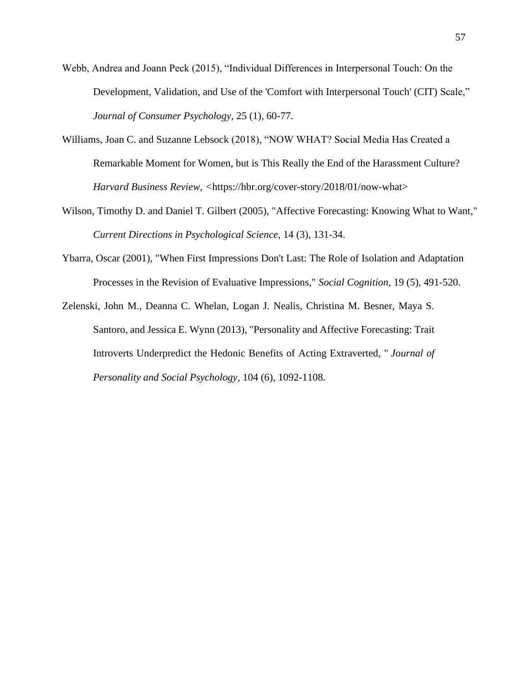- Webb, Andrea and Joann Peck (2015), "Individual Differences in Interpersonal Touch: On the Development, Validation, and Use of the 'Comfort with Interpersonal Touch' (CIT) Scale," *Journal of Consumer Psychology,* 25 (1), 60-77.
- Williams, Joan C. and Suzanne Lebsock (2018), "NOW WHAT? Social Media Has Created a Remarkable Moment for Women, but is This Really the End of the Harassment Culture? *Harvard Business Review, <*https://hbr.org/cover-story/2018/01/now-what>
- Wilson, Timothy D. and Daniel T. Gilbert (2005), "Affective Forecasting: Knowing What to Want," *Current Directions in Psychological Science*, 14 (3), 131-34.
- Ybarra, Oscar (2001), "When First Impressions Don't Last: The Role of Isolation and Adaptation Processes in the Revision of Evaluative Impressions," *Social Cognition,* 19 (5), 491-520.
- Zelenski, John M., Deanna C. Whelan, Logan J. Nealis, Christina M. Besner, Maya S. Santoro, and Jessica E. Wynn (2013), "Personality and Affective Forecasting: Trait Introverts Underpredict the Hedonic Benefits of Acting Extraverted, " *Journal of Personality and Social Psychology,* 104 (6), 1092-1108.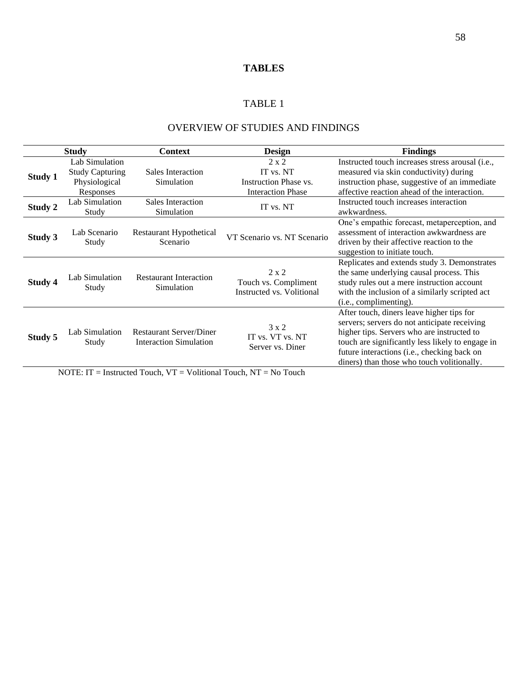## **TABLES**

## TABLE 1

## OVERVIEW OF STUDIES AND FINDINGS

| <b>Study</b>   |                                                                        | <b>Context</b>                                                  | <b>Design</b>                                                                  | <b>Findings</b>                                                                                                                                                                                                                                                                          |  |  |
|----------------|------------------------------------------------------------------------|-----------------------------------------------------------------|--------------------------------------------------------------------------------|------------------------------------------------------------------------------------------------------------------------------------------------------------------------------------------------------------------------------------------------------------------------------------------|--|--|
| <b>Study 1</b> | Lab Simulation<br><b>Study Capturing</b><br>Physiological<br>Responses | Sales Interaction<br>Simulation                                 | $2 \times 2$<br>IT vs. NT<br>Instruction Phase vs.<br><b>Interaction Phase</b> | Instructed touch increases stress arousal (i.e.,<br>measured via skin conductivity) during<br>instruction phase, suggestive of an immediate<br>affective reaction ahead of the interaction.                                                                                              |  |  |
| Study 2        | Lab Simulation<br>Study                                                | Sales Interaction<br>Simulation                                 | IT vs. NT                                                                      | Instructed touch increases interaction<br>awkwardness.                                                                                                                                                                                                                                   |  |  |
| <b>Study 3</b> | Lab Scenario<br>Study                                                  | <b>Restaurant Hypothetical</b><br>Scenario                      | VT Scenario vs. NT Scenario                                                    | One's empathic forecast, metaperception, and<br>assessment of interaction awkwardness are<br>driven by their affective reaction to the<br>suggestion to initiate touch.                                                                                                                  |  |  |
| Study 4        | Lab Simulation<br>Study                                                | <b>Restaurant Interaction</b><br>Simulation                     | $2 \times 2$<br>Touch vs. Compliment<br>Instructed vs. Volitional              | Replicates and extends study 3. Demonstrates<br>the same underlying causal process. This<br>study rules out a mere instruction account<br>with the inclusion of a similarly scripted act<br>(i.e., complimenting).                                                                       |  |  |
| Study 5        | Lab Simulation<br>Study                                                | <b>Restaurant Server/Diner</b><br><b>Interaction Simulation</b> | $3 \times 2$<br>IT vs. VT vs. NT<br>Server vs. Diner                           | After touch, diners leave higher tips for<br>servers; servers do not anticipate receiving<br>higher tips. Servers who are instructed to<br>touch are significantly less likely to engage in<br>future interactions (i.e., checking back on<br>diners) than those who touch volitionally. |  |  |

NOTE: IT = Instructed Touch, VT = Volitional Touch, NT = No Touch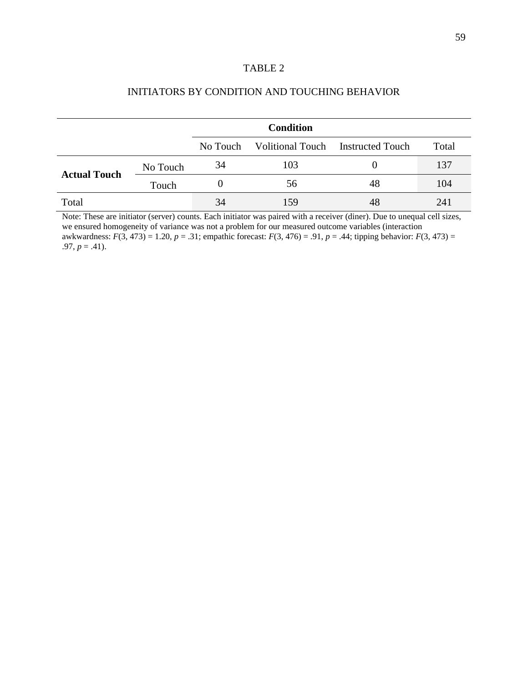## TABLE 2

| INITIATORS BY CONDITION AND TOUCHING BEHAVIOR |  |
|-----------------------------------------------|--|
|-----------------------------------------------|--|

|                     |          | <b>Condition</b> |     |                                   |       |  |  |
|---------------------|----------|------------------|-----|-----------------------------------|-------|--|--|
|                     |          | No Touch         |     | Volitional Touch Instructed Touch | Total |  |  |
| <b>Actual Touch</b> | No Touch | 34               | 103 |                                   | 137   |  |  |
|                     | Touch    |                  | 56  | 48                                | 104   |  |  |
| Total               |          | 34               | 159 | 48                                | 241   |  |  |

Note: These are initiator (server) counts. Each initiator was paired with a receiver (diner). Due to unequal cell sizes, we ensured homogeneity of variance was not a problem for our measured outcome variables (interaction awkwardness: *F*(3, 473) = 1.20, *p* = .31; empathic forecast: *F*(3, 476) = .91, *p* = .44; tipping behavior: *F*(3, 473) =  $.97, p = .41$ .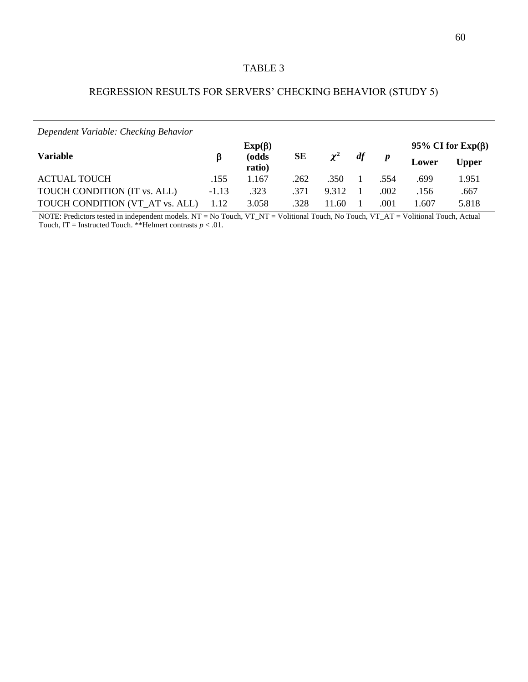## TABLE 3

## REGRESSION RESULTS FOR SERVERS' CHECKING BEHAVIOR (STUDY 5)

*Dependent Variable: Checking Behavior*

|                                     |         | $Exp(\beta)$    |      |          |    |      | 95% CI for $Exp(\beta)$ |       |
|-------------------------------------|---------|-----------------|------|----------|----|------|-------------------------|-------|
| Variable                            | B       | (odds<br>ratio) | SЕ   | $\chi^2$ | df |      | Lower                   | Upper |
| <b>ACTUAL TOUCH</b>                 | .155    | 1.167           | .262 | .350     |    | .554 | .699                    | 1.951 |
| <b>TOUCH CONDITION (IT vs. ALL)</b> | $-1.13$ | .323            | .371 | 9.312    |    | .002 | .156                    | .667  |
| TOUCH CONDITION (VT_AT vs. ALL)     |         | 3.058           | .328 | 1.60     |    | .001 | .607                    | 5.818 |

NOTE: Predictors tested in independent models. NT = No Touch, VT\_NT = Volitional Touch, No Touch, VT\_AT = Volitional Touch, Actual Touch,  $IT = Instructured$  Touch. \*\*Helmert contrasts  $p < .01$ .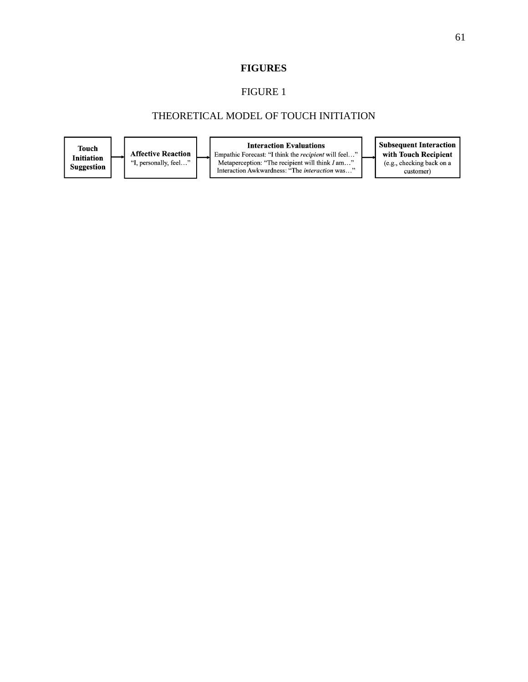#### FIGURE 1

## THEORETICAL MODEL OF TOUCH INITIATION

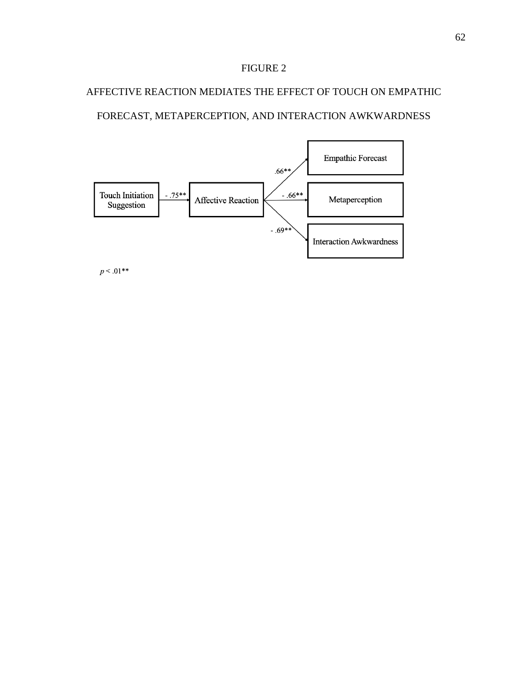# AFFECTIVE REACTION MEDIATES THE EFFECT OF TOUCH ON EMPATHIC

## FORECAST, METAPERCEPTION, AND INTERACTION AWKWARDNESS



 $p < .01***$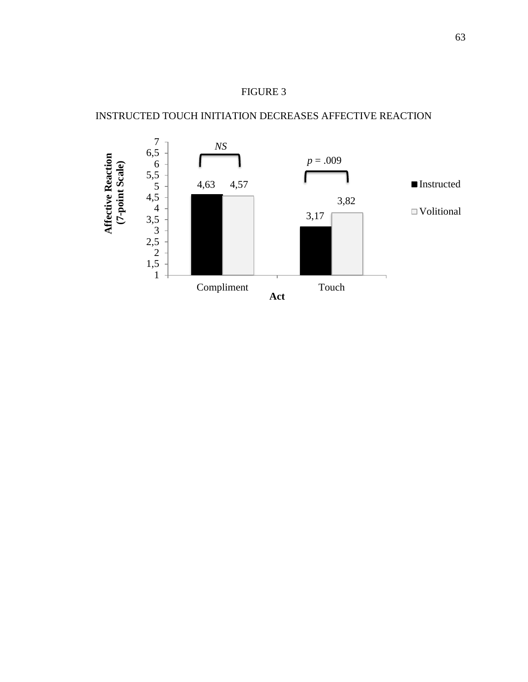## INSTRUCTED TOUCH INITIATION DECREASES AFFECTIVE REACTION

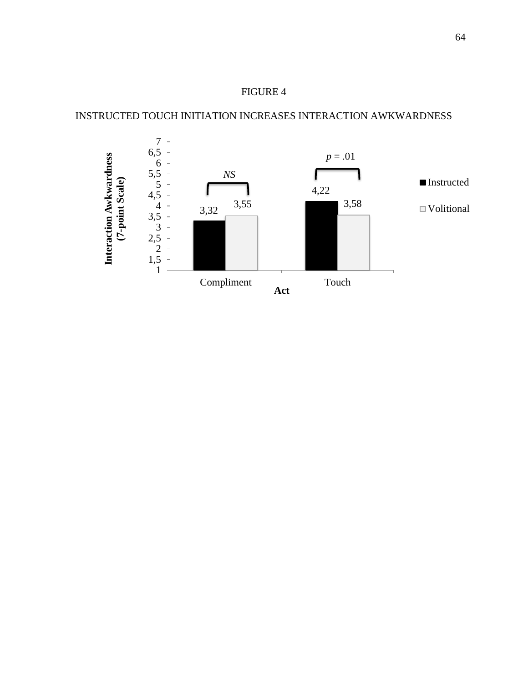## INSTRUCTED TOUCH INITIATION INCREASES INTERACTION AWKWARDNESS

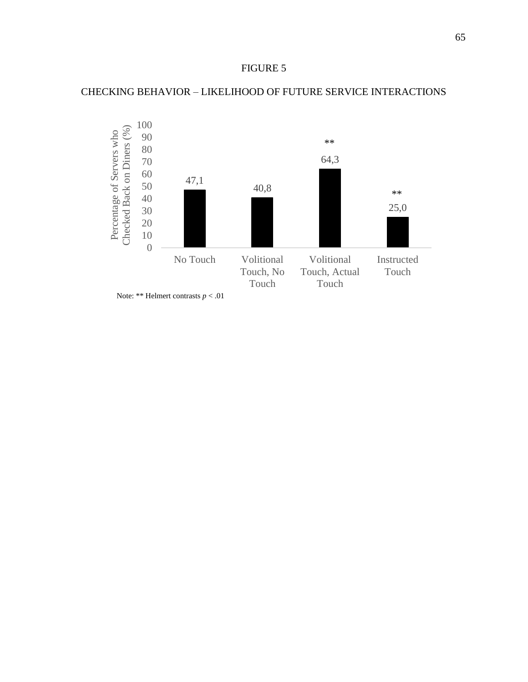## CHECKING BEHAVIOR – LIKELIHOOD OF FUTURE SERVICE INTERACTIONS



Note: \*\* Helmert contrasts *p* < .01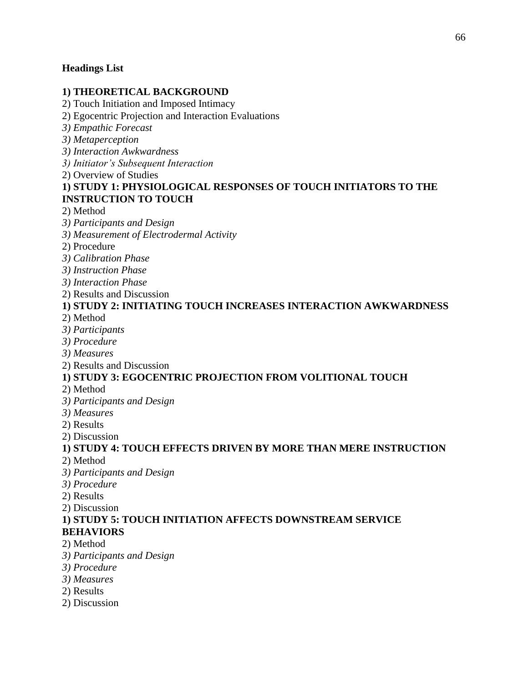## **Headings List**

## **1) THEORETICAL BACKGROUND**

2) Touch Initiation and Imposed Intimacy

2) Egocentric Projection and Interaction Evaluations

*3) Empathic Forecast*

*3) Metaperception*

*3) Interaction Awkwardness*

*3) Initiator's Subsequent Interaction*

2) Overview of Studies

## **1) STUDY 1: PHYSIOLOGICAL RESPONSES OF TOUCH INITIATORS TO THE INSTRUCTION TO TOUCH**

2) Method

*3) Participants and Design*

*3) Measurement of Electrodermal Activity*

2) Procedure

*3) Calibration Phase*

*3) Instruction Phase*

*3) Interaction Phase*

2) Results and Discussion

# **1) STUDY 2: INITIATING TOUCH INCREASES INTERACTION AWKWARDNESS**

2) Method

*3) Participants*

*3) Procedure*

*3) Measures*

2) Results and Discussion

## **1) STUDY 3: EGOCENTRIC PROJECTION FROM VOLITIONAL TOUCH**

2) Method

*3) Participants and Design*

*3) Measures*

2) Results

2) Discussion

# **1) STUDY 4: TOUCH EFFECTS DRIVEN BY MORE THAN MERE INSTRUCTION**

2) Method

*3) Participants and Design*

*3) Procedure*

2) Results

2) Discussion

## **1) STUDY 5: TOUCH INITIATION AFFECTS DOWNSTREAM SERVICE BEHAVIORS**

- 2) Method
- *3) Participants and Design*
- *3) Procedure*
- *3) Measures*
- 2) Results
- 2) Discussion